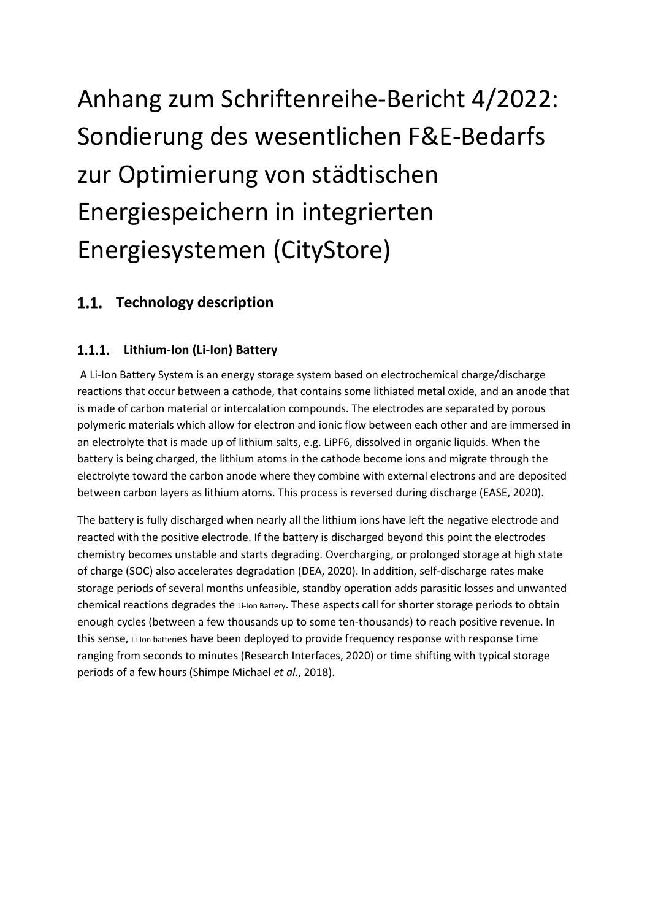# Anhang zum Schriftenreihe-Bericht 4/2022: Sondierung des wesentlichen F&E-Bedarfs zur Optimierung von städtischen Energiespeichern in integrierten Energiesystemen (CityStore)

## **Technology description**

#### $1.1.1.$ **Lithium-Ion (Li-Ion) Battery**

A Li-Ion Battery System is an energy storage system based on electrochemical charge/discharge reactions that occur between a cathode, that contains some lithiated metal oxide, and an anode that is made of carbon material or intercalation compounds. The electrodes are separated by porous polymeric materials which allow for electron and ionic flow between each other and are immersed in an electrolyte that is made up of lithium salts, e.g. LiPF6, dissolved in organic liquids. When the battery is being charged, the lithium atoms in the cathode become ions and migrate through the electrolyte toward the carbon anode where they combine with external electrons and are deposited between carbon layers as lithium atoms. This process is reversed during discharge (EASE, 2020).

The battery is fully discharged when nearly all the lithium ions have left the negative electrode and reacted with the positive electrode. If the battery is discharged beyond this point the electrodes chemistry becomes unstable and starts degrading. Overcharging, or prolonged storage at high state of charge (SOC) also accelerates degradation (DEA, 2020). In addition, self-discharge rates make storage periods of several months unfeasible, standby operation adds parasitic losses and unwanted chemical reactions degrades the Li-Ion Battery. These aspects call for shorter storage periods to obtain enough cycles (between a few thousands up to some ten-thousands) to reach positive revenue. In this sense, Li-Ion batteries have been deployed to provide frequency response with response time ranging from seconds to minutes (Research Interfaces, 2020) or time shifting with typical storage periods of a few hours (Shimpe Michael *et al.*, 2018).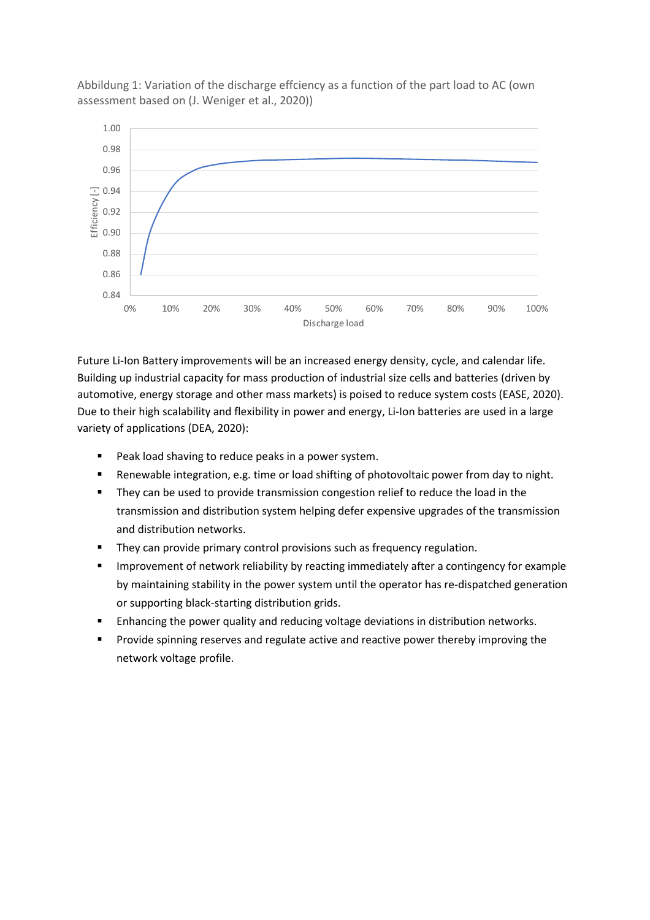

Abbildung 1: Variation of the discharge effciency as a function of the part load to AC (own assessment based on (J. Weniger et al., 2020))

Future Li-Ion Battery improvements will be an increased energy density, cycle, and calendar life. Building up industrial capacity for mass production of industrial size cells and batteries (driven by automotive, energy storage and other mass markets) is poised to reduce system costs (EASE, 2020). Due to their high scalability and flexibility in power and energy, Li-Ion batteries are used in a large variety of applications (DEA, 2020):

- Peak load shaving to reduce peaks in a power system.
- Renewable integration, e.g. time or load shifting of photovoltaic power from day to night.
- They can be used to provide transmission congestion relief to reduce the load in the transmission and distribution system helping defer expensive upgrades of the transmission and distribution networks.
- **•** They can provide primary control provisions such as frequency regulation.
- **EXED** Improvement of network reliability by reacting immediately after a contingency for example by maintaining stability in the power system until the operator has re-dispatched generation or supporting black-starting distribution grids.
- Enhancing the power quality and reducing voltage deviations in distribution networks.
- **•** Provide spinning reserves and regulate active and reactive power thereby improving the network voltage profile.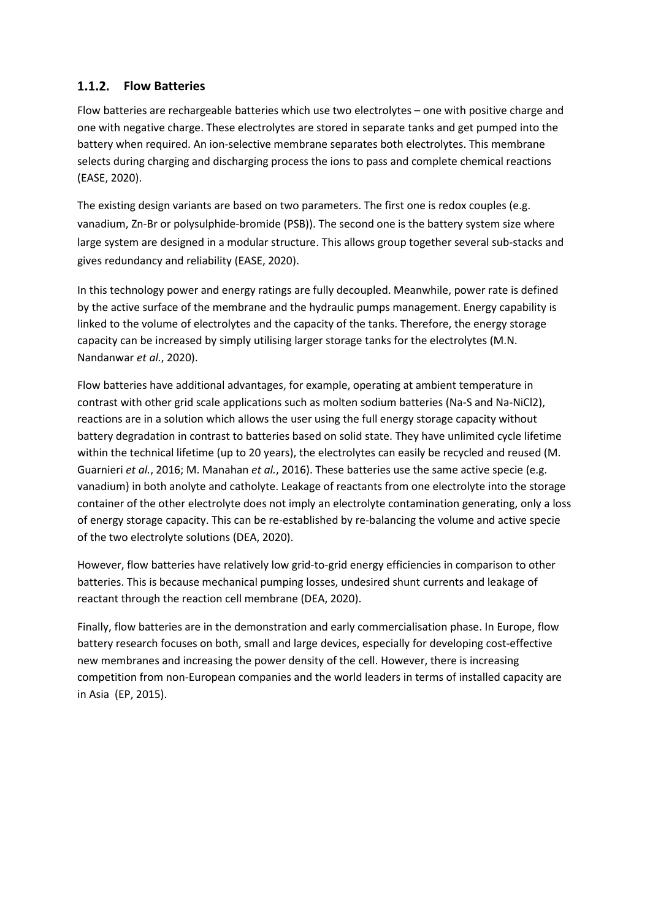#### **Flow Batteries**

Flow batteries are rechargeable batteries which use two electrolytes – one with positive charge and one with negative charge. These electrolytes are stored in separate tanks and get pumped into the battery when required. An ion-selective membrane separates both electrolytes. This membrane selects during charging and discharging process the ions to pass and complete chemical reactions (EASE, 2020).

The existing design variants are based on two parameters. The first one is redox couples (e.g. vanadium, Zn-Br or polysulphide-bromide (PSB)). The second one is the battery system size where large system are designed in a modular structure. This allows group together several sub-stacks and gives redundancy and reliability (EASE, 2020).

In this technology power and energy ratings are fully decoupled. Meanwhile, power rate is defined by the active surface of the membrane and the hydraulic pumps management. Energy capability is linked to the volume of electrolytes and the capacity of the tanks. Therefore, the energy storage capacity can be increased by simply utilising larger storage tanks for the electrolytes (M.N. Nandanwar *et al.*, 2020).

Flow batteries have additional advantages, for example, operating at ambient temperature in contrast with other grid scale applications such as molten sodium batteries (Na-S and Na-NiCl2), reactions are in a solution which allows the user using the full energy storage capacity without battery degradation in contrast to batteries based on solid state. They have unlimited cycle lifetime within the technical lifetime (up to 20 years), the electrolytes can easily be recycled and reused (M. Guarnieri *et al.*, 2016; M. Manahan *et al.*, 2016). These batteries use the same active specie (e.g. vanadium) in both anolyte and catholyte. Leakage of reactants from one electrolyte into the storage container of the other electrolyte does not imply an electrolyte contamination generating, only a loss of energy storage capacity. This can be re-established by re-balancing the volume and active specie of the two electrolyte solutions (DEA, 2020).

However, flow batteries have relatively low grid-to-grid energy efficiencies in comparison to other batteries. This is because mechanical pumping losses, undesired shunt currents and leakage of reactant through the reaction cell membrane (DEA, 2020).

Finally, flow batteries are in the demonstration and early commercialisation phase. In Europe, flow battery research focuses on both, small and large devices, especially for developing cost-effective new membranes and increasing the power density of the cell. However, there is increasing competition from non-European companies and the world leaders in terms of installed capacity are in Asia (EP, 2015).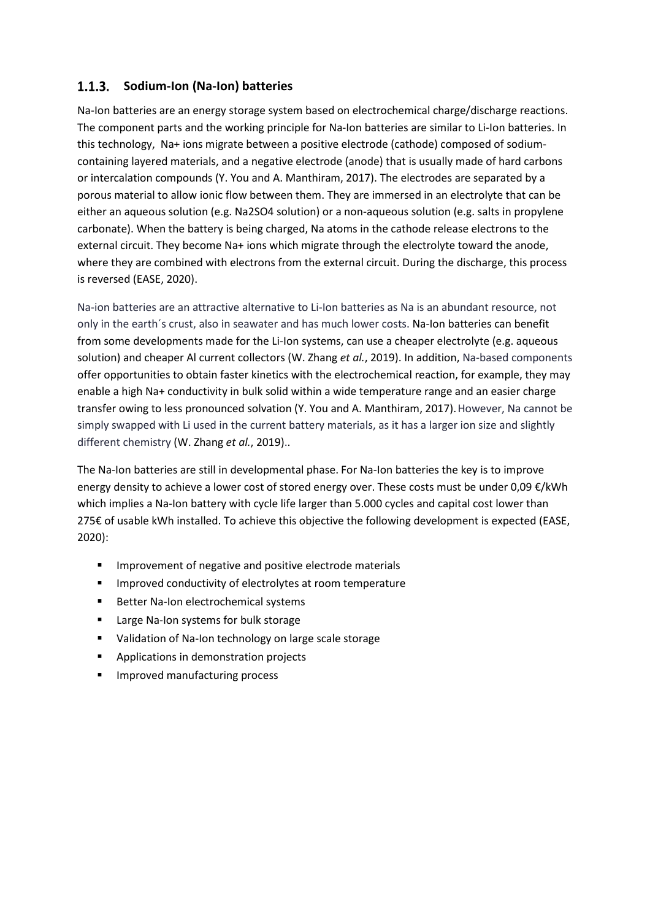#### **Sodium-Ion (Na-Ion) batteries**

Na-Ion batteries are an energy storage system based on electrochemical charge/discharge reactions. The component parts and the working principle for Na-Ion batteries are similar to Li-Ion batteries. In this technology, Na+ ions migrate between a positive electrode (cathode) composed of sodiumcontaining layered materials, and a negative electrode (anode) that is usually made of hard carbons or intercalation compounds (Y. You and A. Manthiram, 2017). The electrodes are separated by a porous material to allow ionic flow between them. They are immersed in an electrolyte that can be either an aqueous solution (e.g. Na2SO4 solution) or a non-aqueous solution (e.g. salts in propylene carbonate). When the battery is being charged, Na atoms in the cathode release electrons to the external circuit. They become Na+ ions which migrate through the electrolyte toward the anode, where they are combined with electrons from the external circuit. During the discharge, this process is reversed (EASE, 2020).

Na-ion batteries are an attractive alternative to Li-Ion batteries as Na is an abundant resource, not only in the earth´s crust, also in seawater and has much lower costs. Na-Ion batteries can benefit from some developments made for the Li-Ion systems, can use a cheaper electrolyte (e.g. aqueous solution) and cheaper Al current collectors (W. Zhang *et al.*, 2019). In addition, Na-based components offer opportunities to obtain faster kinetics with the electrochemical reaction, for example, they may enable a high Na+ conductivity in bulk solid within a wide temperature range and an easier charge transfer owing to less pronounced solvation (Y. You and A. Manthiram, 2017). However, Na cannot be simply swapped with Li used in the current battery materials, as it has a larger ion size and slightly different chemistry (W. Zhang *et al.*, 2019)..

The Na-Ion batteries are still in developmental phase. For Na-Ion batteries the key is to improve energy density to achieve a lower cost of stored energy over. These costs must be under 0,09  $\epsilon$ /kWh which implies a Na-Ion battery with cycle life larger than 5.000 cycles and capital cost lower than 275€ of usable kWh installed. To achieve this objective the following development is expected (EASE, 2020):

- Improvement of negative and positive electrode materials
- Improved conductivity of electrolytes at room temperature
- Better Na-Ion electrochemical systems
- Large Na-Ion systems for bulk storage
- Validation of Na-Ion technology on large scale storage
- Applications in demonstration projects
- Improved manufacturing process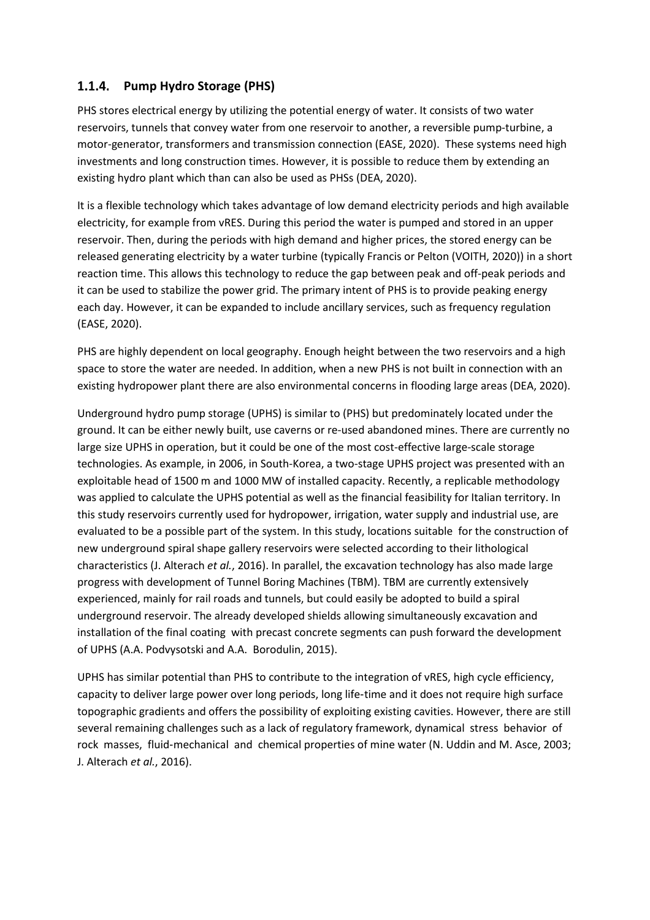#### **Pump Hydro Storage (PHS)**

PHS stores electrical energy by utilizing the potential energy of water. It consists of two water reservoirs, tunnels that convey water from one reservoir to another, a reversible pump-turbine, a motor-generator, transformers and transmission connection (EASE, 2020). These systems need high investments and long construction times. However, it is possible to reduce them by extending an existing hydro plant which than can also be used as PHSs (DEA, 2020).

It is a flexible technology which takes advantage of low demand electricity periods and high available electricity, for example from vRES. During this period the water is pumped and stored in an upper reservoir. Then, during the periods with high demand and higher prices, the stored energy can be released generating electricity by a water turbine (typically Francis or Pelton (VOITH, 2020)) in a short reaction time. This allows this technology to reduce the gap between peak and off-peak periods and it can be used to stabilize the power grid. The primary intent of PHS is to provide peaking energy each day. However, it can be expanded to include ancillary services, such as frequency regulation (EASE, 2020).

PHS are highly dependent on local geography. Enough height between the two reservoirs and a high space to store the water are needed. In addition, when a new PHS is not built in connection with an existing hydropower plant there are also environmental concerns in flooding large areas (DEA, 2020).

Underground hydro pump storage (UPHS) is similar to (PHS) but predominately located under the ground. It can be either newly built, use caverns or re-used abandoned mines. There are currently no large size UPHS in operation, but it could be one of the most cost-effective large-scale storage technologies. As example, in 2006, in South-Korea, a two-stage UPHS project was presented with an exploitable head of 1500 m and 1000 MW of installed capacity. Recently, a replicable methodology was applied to calculate the UPHS potential as well as the financial feasibility for Italian territory. In this study reservoirs currently used for hydropower, irrigation, water supply and industrial use, are evaluated to be a possible part of the system. In this study, locations suitable for the construction of new underground spiral shape gallery reservoirs were selected according to their lithological characteristics (J. Alterach *et al.*, 2016). In parallel, the excavation technology has also made large progress with development of Tunnel Boring Machines (TBM). TBM are currently extensively experienced, mainly for rail roads and tunnels, but could easily be adopted to build a spiral underground reservoir. The already developed shields allowing simultaneously excavation and installation of the final coating with precast concrete segments can push forward the development of UPHS (A.A. Podvysotski and A.A. Borodulin, 2015).

UPHS has similar potential than PHS to contribute to the integration of vRES, high cycle efficiency, capacity to deliver large power over long periods, long life‐time and it does not require high surface topographic gradients and offers the possibility of exploiting existing cavities. However, there are still several remaining challenges such as a lack of regulatory framework, dynamical stress behavior of rock masses, fluid‐mechanical and chemical properties of mine water (N. Uddin and M. Asce, 2003; J. Alterach *et al.*, 2016).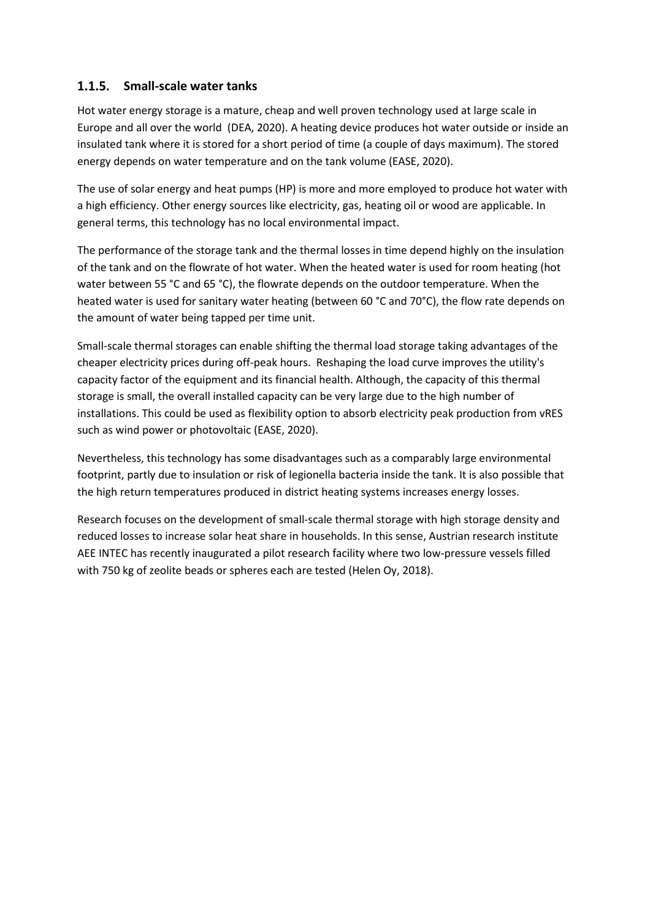#### **Small-scale water tanks**

Hot water energy storage is a mature, cheap and well proven technology used at large scale in Europe and all over the world (DEA, 2020). A heating device produces hot water outside or inside an insulated tank where it is stored for a short period of time (a couple of days maximum). The stored energy depends on water temperature and on the tank volume (EASE, 2020).

The use of solar energy and heat pumps (HP) is more and more employed to produce hot water with a high efficiency. Other energy sources like electricity, gas, heating oil or wood are applicable. In general terms, this technology has no local environmental impact.

The performance of the storage tank and the thermal losses in time depend highly on the insulation of the tank and on the flowrate of hot water. When the heated water is used for room heating (hot water between 55 °C and 65 °C), the flowrate depends on the outdoor temperature. When the heated water is used for sanitary water heating (between 60 °C and 70°C), the flow rate depends on the amount of water being tapped per time unit.

Small-scale thermal storages can enable shifting the thermal load storage taking advantages of the cheaper electricity prices during off-peak hours. Reshaping the load curve improves the utility's capacity factor of the equipment and its financial health. Although, the capacity of this thermal storage is small, the overall installed capacity can be very large due to the high number of installations. This could be used as flexibility option to absorb electricity peak production from vRES such as wind power or photovoltaic (EASE, 2020).

Nevertheless, this technology has some disadvantages such as a comparably large environmental footprint, partly due to insulation or risk of legionella bacteria inside the tank. It is also possible that the high return temperatures produced in district heating systems increases energy losses.

Research focuses on the development of small-scale thermal storage with high storage density and reduced losses to increase solar heat share in households. In this sense, Austrian research institute AEE INTEC has recently inaugurated a pilot research facility where two low-pressure vessels filled with 750 kg of zeolite beads or spheres each are tested (Helen Oy, 2018).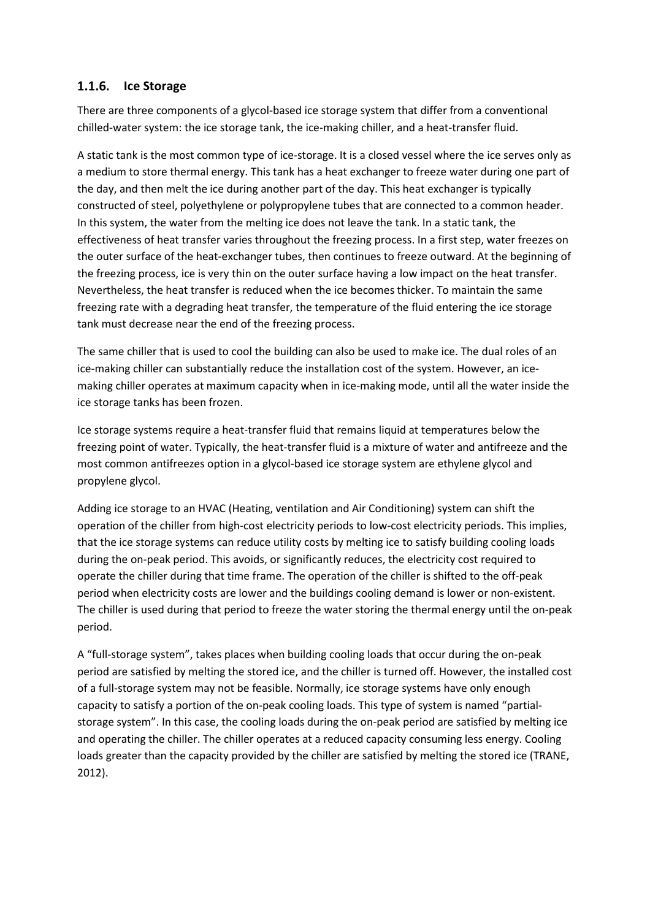#### 1.1.6. Ice Storage

There are three components of a glycol-based ice storage system that differ from a conventional chilled-water system: the ice storage tank, the ice-making chiller, and a heat-transfer fluid.

A static tank is the most common type of ice-storage. It is a closed vessel where the ice serves only as a medium to store thermal energy. This tank has a heat exchanger to freeze water during one part of the day, and then melt the ice during another part of the day. This heat exchanger is typically constructed of steel, polyethylene or polypropylene tubes that are connected to a common header. In this system, the water from the melting ice does not leave the tank. In a static tank, the effectiveness of heat transfer varies throughout the freezing process. In a first step, water freezes on the outer surface of the heat-exchanger tubes, then continues to freeze outward. At the beginning of the freezing process, ice is very thin on the outer surface having a low impact on the heat transfer. Nevertheless, the heat transfer is reduced when the ice becomes thicker. To maintain the same freezing rate with a degrading heat transfer, the temperature of the fluid entering the ice storage tank must decrease near the end of the freezing process.

The same chiller that is used to cool the building can also be used to make ice. The dual roles of an ice-making chiller can substantially reduce the installation cost of the system. However, an icemaking chiller operates at maximum capacity when in ice-making mode, until all the water inside the ice storage tanks has been frozen.

Ice storage systems require a heat-transfer fluid that remains liquid at temperatures below the freezing point of water. Typically, the heat-transfer fluid is a mixture of water and antifreeze and the most common antifreezes option in a glycol-based ice storage system are ethylene glycol and propylene glycol.

Adding ice storage to an HVAC (Heating, ventilation and Air Conditioning) system can shift the operation of the chiller from high-cost electricity periods to low-cost electricity periods. This implies, that the ice storage systems can reduce utility costs by melting ice to satisfy building cooling loads during the on-peak period. This avoids, or significantly reduces, the electricity cost required to operate the chiller during that time frame. The operation of the chiller is shifted to the off-peak period when electricity costs are lower and the buildings cooling demand is lower or non-existent. The chiller is used during that period to freeze the water storing the thermal energy until the on-peak period.

A "full-storage system", takes places when building cooling loads that occur during the on-peak period are satisfied by melting the stored ice, and the chiller is turned off. However, the installed cost of a full-storage system may not be feasible. Normally, ice storage systems have only enough capacity to satisfy a portion of the on-peak cooling loads. This type of system is named "partialstorage system". In this case, the cooling loads during the on-peak period are satisfied by melting ice and operating the chiller. The chiller operates at a reduced capacity consuming less energy. Cooling loads greater than the capacity provided by the chiller are satisfied by melting the stored ice (TRANE, 2012).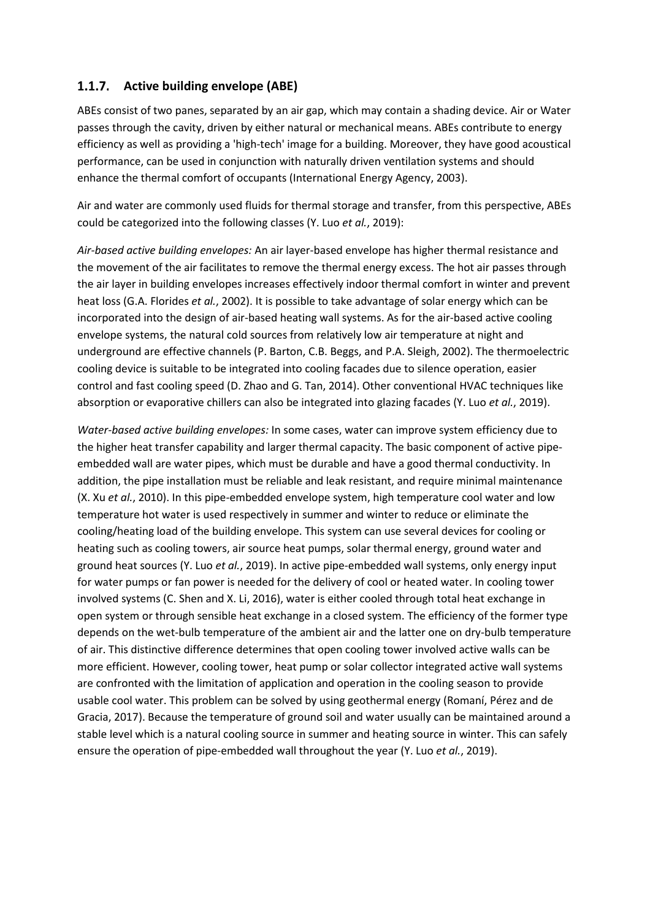#### **1.1.7.** Active building envelope (ABE)

ABEs consist of two panes, separated by an air gap, which may contain a shading device. Air or Water passes through the cavity, driven by either natural or mechanical means. ABEs contribute to energy efficiency as well as providing a 'high-tech' image for a building. Moreover, they have good acoustical performance, can be used in conjunction with naturally driven ventilation systems and should enhance the thermal comfort of occupants (International Energy Agency, 2003).

Air and water are commonly used fluids for thermal storage and transfer, from this perspective, ABEs could be categorized into the following classes (Y. Luo *et al.*, 2019):

*Air-based active building envelopes:* An air layer-based envelope has higher thermal resistance and the movement of the air facilitates to remove the thermal energy excess. The hot air passes through the air layer in building envelopes increases effectively indoor thermal comfort in winter and prevent heat loss (G.A. Florides *et al.*, 2002). It is possible to take advantage of solar energy which can be incorporated into the design of air-based heating wall systems. As for the air-based active cooling envelope systems, the natural cold sources from relatively low air temperature at night and underground are effective channels (P. Barton, C.B. Beggs, and P.A. Sleigh, 2002). The thermoelectric cooling device is suitable to be integrated into cooling facades due to silence operation, easier control and fast cooling speed (D. Zhao and G. Tan, 2014). Other conventional HVAC techniques like absorption or evaporative chillers can also be integrated into glazing facades (Y. Luo *et al.*, 2019).

*Water-based active building envelopes:* In some cases, water can improve system efficiency due to the higher heat transfer capability and larger thermal capacity. The basic component of active pipeembedded wall are water pipes, which must be durable and have a good thermal conductivity. In addition, the pipe installation must be reliable and leak resistant, and require minimal maintenance (X. Xu *et al.*, 2010). In this pipe-embedded envelope system, high temperature cool water and low temperature hot water is used respectively in summer and winter to reduce or eliminate the cooling/heating load of the building envelope. This system can use several devices for cooling or heating such as cooling towers, air source heat pumps, solar thermal energy, ground water and ground heat sources (Y. Luo *et al.*, 2019). In active pipe-embedded wall systems, only energy input for water pumps or fan power is needed for the delivery of cool or heated water. In cooling tower involved systems (C. Shen and X. Li, 2016), water is either cooled through total heat exchange in open system or through sensible heat exchange in a closed system. The efficiency of the former type depends on the wet-bulb temperature of the ambient air and the latter one on dry-bulb temperature of air. This distinctive difference determines that open cooling tower involved active walls can be more efficient. However, cooling tower, heat pump or solar collector integrated active wall systems are confronted with the limitation of application and operation in the cooling season to provide usable cool water. This problem can be solved by using geothermal energy (Romaní, Pérez and de Gracia, 2017). Because the temperature of ground soil and water usually can be maintained around a stable level which is a natural cooling source in summer and heating source in winter. This can safely ensure the operation of pipe-embedded wall throughout the year (Y. Luo *et al.*, 2019).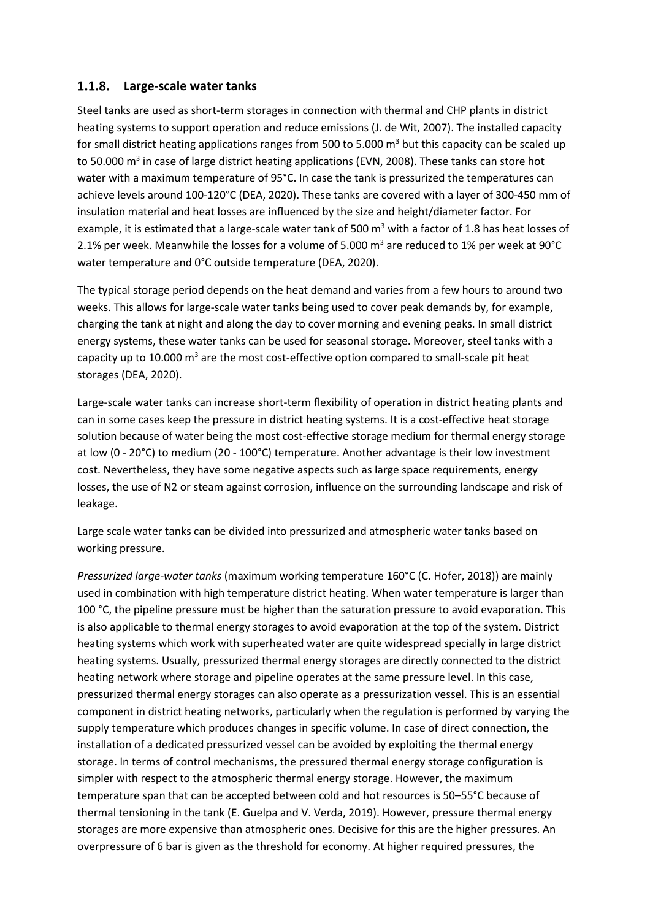#### **Large-scale water tanks**

Steel tanks are used as short-term storages in connection with thermal and CHP plants in district heating systems to support operation and reduce emissions (J. de Wit, 2007). The installed capacity for small district heating applications ranges from 500 to 5.000  $\text{m}^3$  but this capacity can be scaled up to 50.000 m<sup>3</sup> in case of large district heating applications (EVN, 2008). These tanks can store hot water with a maximum temperature of 95°C. In case the tank is pressurized the temperatures can achieve levels around 100-120°C (DEA, 2020). These tanks are covered with a layer of 300-450 mm of insulation material and heat losses are influenced by the size and height/diameter factor. For example, it is estimated that a large-scale water tank of 500  $m<sup>3</sup>$  with a factor of 1.8 has heat losses of 2.1% per week. Meanwhile the losses for a volume of 5.000  $\text{m}^3$  are reduced to 1% per week at 90°C water temperature and 0°C outside temperature (DEA, 2020).

The typical storage period depends on the heat demand and varies from a few hours to around two weeks. This allows for large-scale water tanks being used to cover peak demands by, for example, charging the tank at night and along the day to cover morning and evening peaks. In small district energy systems, these water tanks can be used for seasonal storage. Moreover, steel tanks with a capacity up to 10.000  $m<sup>3</sup>$  are the most cost-effective option compared to small-scale pit heat storages (DEA, 2020).

Large-scale water tanks can increase short-term flexibility of operation in district heating plants and can in some cases keep the pressure in district heating systems. It is a cost-effective heat storage solution because of water being the most cost-effective storage medium for thermal energy storage at low (0 - 20°C) to medium (20 - 100°C) temperature. Another advantage is their low investment cost. Nevertheless, they have some negative aspects such as large space requirements, energy losses, the use of N2 or steam against corrosion, influence on the surrounding landscape and risk of leakage.

Large scale water tanks can be divided into pressurized and atmospheric water tanks based on working pressure.

*Pressurized large-water tanks* (maximum working temperature 160°C (C. Hofer, 2018)) are mainly used in combination with high temperature district heating. When water temperature is larger than 100 °C, the pipeline pressure must be higher than the saturation pressure to avoid evaporation. This is also applicable to thermal energy storages to avoid evaporation at the top of the system. District heating systems which work with superheated water are quite widespread specially in large district heating systems. Usually, pressurized thermal energy storages are directly connected to the district heating network where storage and pipeline operates at the same pressure level. In this case, pressurized thermal energy storages can also operate as a pressurization vessel. This is an essential component in district heating networks, particularly when the regulation is performed by varying the supply temperature which produces changes in specific volume. In case of direct connection, the installation of a dedicated pressurized vessel can be avoided by exploiting the thermal energy storage. In terms of control mechanisms, the pressured thermal energy storage configuration is simpler with respect to the atmospheric thermal energy storage. However, the maximum temperature span that can be accepted between cold and hot resources is 50–55°C because of thermal tensioning in the tank (E. Guelpa and V. Verda, 2019). However, pressure thermal energy storages are more expensive than atmospheric ones. Decisive for this are the higher pressures. An overpressure of 6 bar is given as the threshold for economy. At higher required pressures, the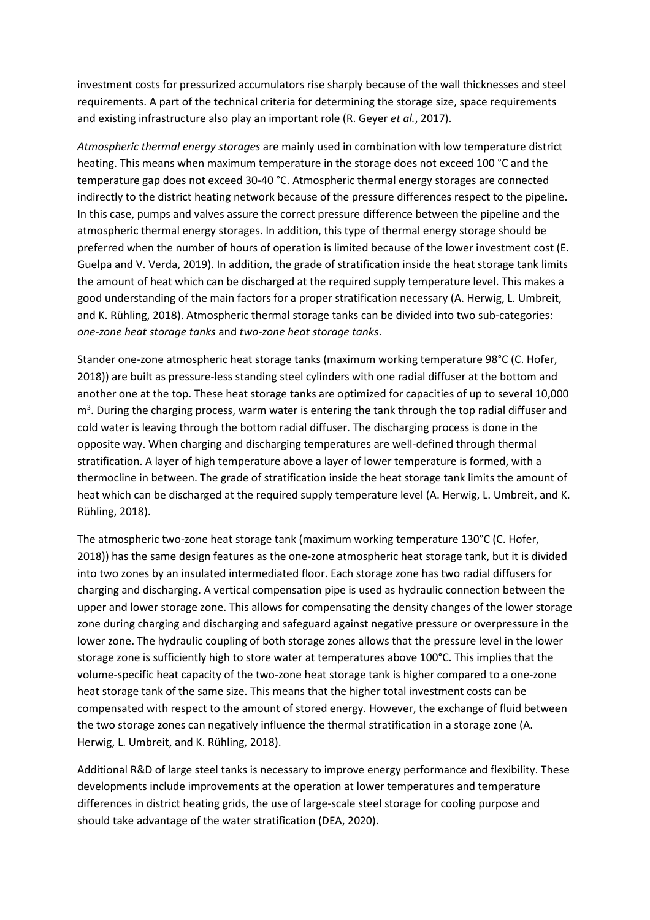investment costs for pressurized accumulators rise sharply because of the wall thicknesses and steel requirements. A part of the technical criteria for determining the storage size, space requirements and existing infrastructure also play an important role (R. Geyer *et al.*, 2017).

*Atmospheric thermal energy storages* are mainly used in combination with low temperature district heating. This means when maximum temperature in the storage does not exceed 100 °C and the temperature gap does not exceed 30-40 °C. Atmospheric thermal energy storages are connected indirectly to the district heating network because of the pressure differences respect to the pipeline. In this case, pumps and valves assure the correct pressure difference between the pipeline and the atmospheric thermal energy storages. In addition, this type of thermal energy storage should be preferred when the number of hours of operation is limited because of the lower investment cost (E. Guelpa and V. Verda, 2019). In addition, the grade of stratification inside the heat storage tank limits the amount of heat which can be discharged at the required supply temperature level. This makes a good understanding of the main factors for a proper stratification necessary (A. Herwig, L. Umbreit, and K. Rühling, 2018). Atmospheric thermal storage tanks can be divided into two sub-categories: *one-zone heat storage tanks* and *two-zone heat storage tanks*.

Stander one-zone atmospheric heat storage tanks (maximum working temperature 98°C (C. Hofer, 2018)) are built as pressure-less standing steel cylinders with one radial diffuser at the bottom and another one at the top. These heat storage tanks are optimized for capacities of up to several 10,000 m<sup>3</sup>. During the charging process, warm water is entering the tank through the top radial diffuser and cold water is leaving through the bottom radial diffuser. The discharging process is done in the opposite way. When charging and discharging temperatures are well-defined through thermal stratification. A layer of high temperature above a layer of lower temperature is formed, with a thermocline in between. The grade of stratification inside the heat storage tank limits the amount of heat which can be discharged at the required supply temperature level (A. Herwig, L. Umbreit, and K. Rühling, 2018).

The atmospheric two-zone heat storage tank (maximum working temperature 130°C (C. Hofer, 2018)) has the same design features as the one-zone atmospheric heat storage tank, but it is divided into two zones by an insulated intermediated floor. Each storage zone has two radial diffusers for charging and discharging. A vertical compensation pipe is used as hydraulic connection between the upper and lower storage zone. This allows for compensating the density changes of the lower storage zone during charging and discharging and safeguard against negative pressure or overpressure in the lower zone. The hydraulic coupling of both storage zones allows that the pressure level in the lower storage zone is sufficiently high to store water at temperatures above 100°C. This implies that the volume-specific heat capacity of the two-zone heat storage tank is higher compared to a one-zone heat storage tank of the same size. This means that the higher total investment costs can be compensated with respect to the amount of stored energy. However, the exchange of fluid between the two storage zones can negatively influence the thermal stratification in a storage zone (A. Herwig, L. Umbreit, and K. Rühling, 2018).

Additional R&D of large steel tanks is necessary to improve energy performance and flexibility. These developments include improvements at the operation at lower temperatures and temperature differences in district heating grids, the use of large-scale steel storage for cooling purpose and should take advantage of the water stratification (DEA, 2020).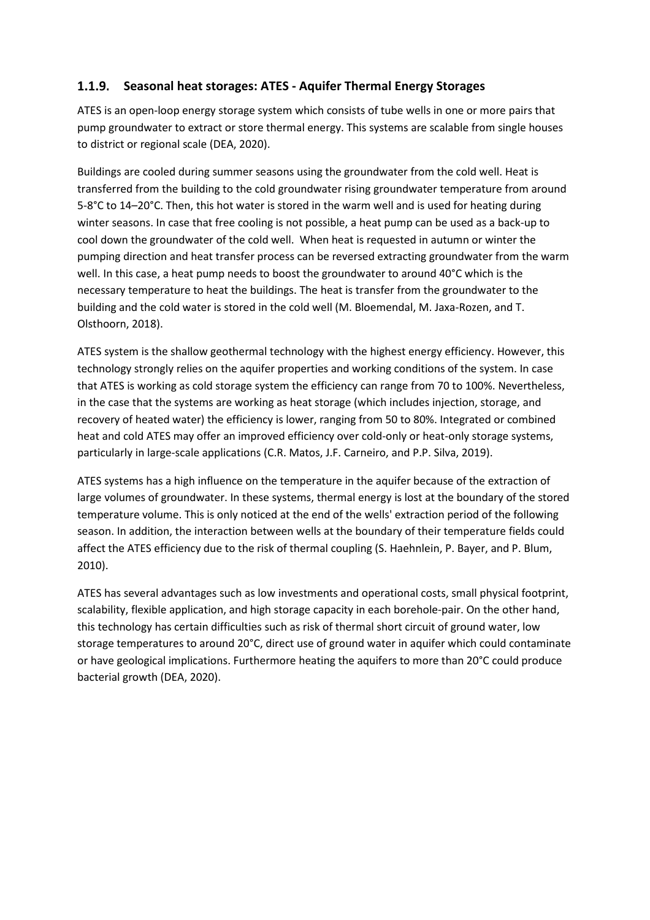#### **Seasonal heat storages: ATES - Aquifer Thermal Energy Storages**

ATES is an open-loop energy storage system which consists of tube wells in one or more pairs that pump groundwater to extract or store thermal energy. This systems are scalable from single houses to district or regional scale (DEA, 2020).

Buildings are cooled during summer seasons using the groundwater from the cold well. Heat is transferred from the building to the cold groundwater rising groundwater temperature from around 5-8°C to 14–20°C. Then, this hot water is stored in the warm well and is used for heating during winter seasons. In case that free cooling is not possible, a heat pump can be used as a back-up to cool down the groundwater of the cold well. When heat is requested in autumn or winter the pumping direction and heat transfer process can be reversed extracting groundwater from the warm well. In this case, a heat pump needs to boost the groundwater to around 40°C which is the necessary temperature to heat the buildings. The heat is transfer from the groundwater to the building and the cold water is stored in the cold well (M. Bloemendal, M. Jaxa-Rozen, and T. Olsthoorn, 2018).

ATES system is the shallow geothermal technology with the highest energy efficiency. However, this technology strongly relies on the aquifer properties and working conditions of the system. In case that ATES is working as cold storage system the efficiency can range from 70 to 100%. Nevertheless, in the case that the systems are working as heat storage (which includes injection, storage, and recovery of heated water) the efficiency is lower, ranging from 50 to 80%. Integrated or combined heat and cold ATES may offer an improved efficiency over cold-only or heat-only storage systems, particularly in large-scale applications (C.R. Matos, J.F. Carneiro, and P.P. Silva, 2019).

ATES systems has a high influence on the temperature in the aquifer because of the extraction of large volumes of groundwater. In these systems, thermal energy is lost at the boundary of the stored temperature volume. This is only noticed at the end of the wells' extraction period of the following season. In addition, the interaction between wells at the boundary of their temperature fields could affect the ATES efficiency due to the risk of thermal coupling (S. Haehnlein, P. Bayer, and P. Blum, 2010).

ATES has several advantages such as low investments and operational costs, small physical footprint, scalability, flexible application, and high storage capacity in each borehole-pair. On the other hand, this technology has certain difficulties such as risk of thermal short circuit of ground water, low storage temperatures to around 20°C, direct use of ground water in aquifer which could contaminate or have geological implications. Furthermore heating the aquifers to more than 20°C could produce bacterial growth (DEA, 2020).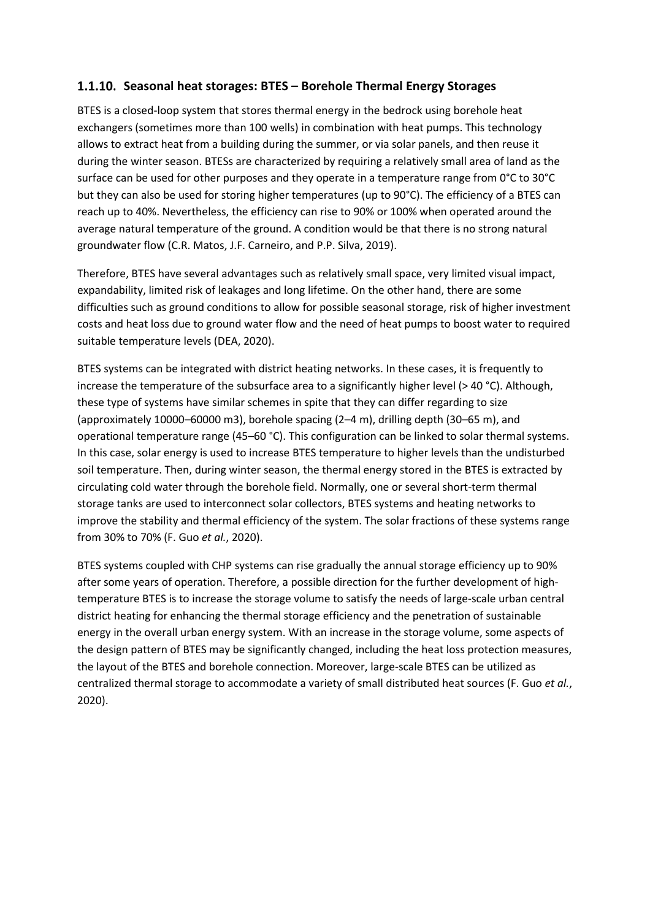#### **Seasonal heat storages: BTES – Borehole Thermal Energy Storages**

BTES is a closed-loop system that stores thermal energy in the bedrock using borehole heat exchangers (sometimes more than 100 wells) in combination with heat pumps. This technology allows to extract heat from a building during the summer, or via solar panels, and then reuse it during the winter season. BTESs are characterized by requiring a relatively small area of land as the surface can be used for other purposes and they operate in a temperature range from 0°C to 30°C but they can also be used for storing higher temperatures (up to 90°C). The efficiency of a BTES can reach up to 40%. Nevertheless, the efficiency can rise to 90% or 100% when operated around the average natural temperature of the ground. A condition would be that there is no strong natural groundwater flow (C.R. Matos, J.F. Carneiro, and P.P. Silva, 2019).

Therefore, BTES have several advantages such as relatively small space, very limited visual impact, expandability, limited risk of leakages and long lifetime. On the other hand, there are some difficulties such as ground conditions to allow for possible seasonal storage, risk of higher investment costs and heat loss due to ground water flow and the need of heat pumps to boost water to required suitable temperature levels (DEA, 2020).

BTES systems can be integrated with district heating networks. In these cases, it is frequently to increase the temperature of the subsurface area to a significantly higher level (> 40 °C). Although, these type of systems have similar schemes in spite that they can differ regarding to size (approximately 10000–60000 m3), borehole spacing (2–4 m), drilling depth (30–65 m), and operational temperature range (45–60 °C). This configuration can be linked to solar thermal systems. In this case, solar energy is used to increase BTES temperature to higher levels than the undisturbed soil temperature. Then, during winter season, the thermal energy stored in the BTES is extracted by circulating cold water through the borehole field. Normally, one or several short-term thermal storage tanks are used to interconnect solar collectors, BTES systems and heating networks to improve the stability and thermal efficiency of the system. The solar fractions of these systems range from 30% to 70% (F. Guo *et al.*, 2020).

BTES systems coupled with CHP systems can rise gradually the annual storage efficiency up to 90% after some years of operation. Therefore, a possible direction for the further development of hightemperature BTES is to increase the storage volume to satisfy the needs of large-scale urban central district heating for enhancing the thermal storage efficiency and the penetration of sustainable energy in the overall urban energy system. With an increase in the storage volume, some aspects of the design pattern of BTES may be significantly changed, including the heat loss protection measures, the layout of the BTES and borehole connection. Moreover, large-scale BTES can be utilized as centralized thermal storage to accommodate a variety of small distributed heat sources (F. Guo *et al.*, 2020).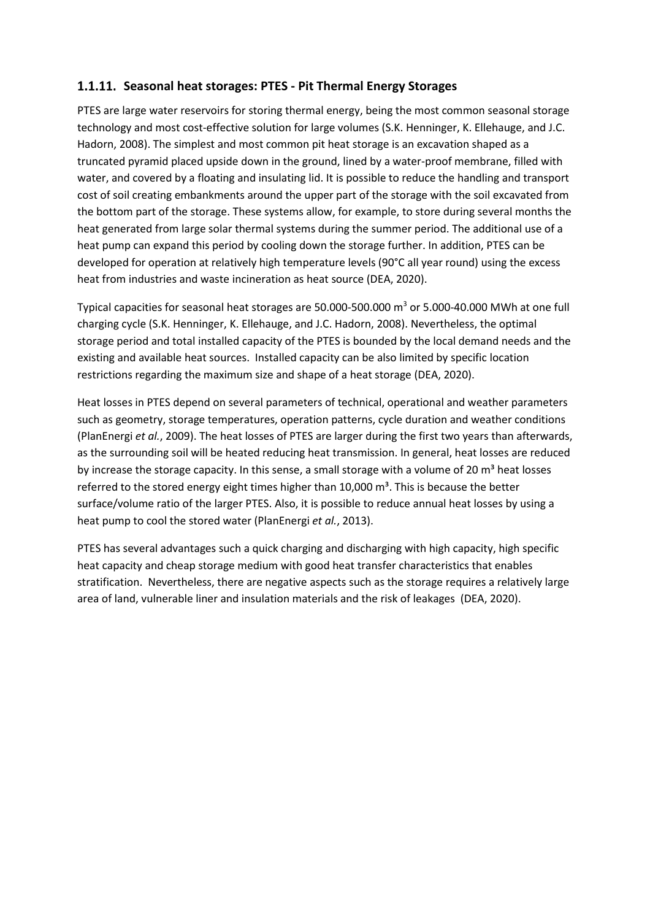#### **Seasonal heat storages: PTES - Pit Thermal Energy Storages**

PTES are large water reservoirs for storing thermal energy, being the most common seasonal storage technology and most cost-effective solution for large volumes (S.K. Henninger, K. Ellehauge, and J.C. Hadorn, 2008). The simplest and most common pit heat storage is an excavation shaped as a truncated pyramid placed upside down in the ground, lined by a water-proof membrane, filled with water, and covered by a floating and insulating lid. It is possible to reduce the handling and transport cost of soil creating embankments around the upper part of the storage with the soil excavated from the bottom part of the storage. These systems allow, for example, to store during several months the heat generated from large solar thermal systems during the summer period. The additional use of a heat pump can expand this period by cooling down the storage further. In addition, PTES can be developed for operation at relatively high temperature levels (90°C all year round) using the excess heat from industries and waste incineration as heat source (DEA, 2020).

Typical capacities for seasonal heat storages are 50.000-500.000  $\mathrm{m}^3$  or 5.000-40.000 MWh at one full charging cycle (S.K. Henninger, K. Ellehauge, and J.C. Hadorn, 2008). Nevertheless, the optimal storage period and total installed capacity of the PTES is bounded by the local demand needs and the existing and available heat sources. Installed capacity can be also limited by specific location restrictions regarding the maximum size and shape of a heat storage (DEA, 2020).

Heat losses in PTES depend on several parameters of technical, operational and weather parameters such as geometry, storage temperatures, operation patterns, cycle duration and weather conditions (PlanEnergi *et al.*, 2009). The heat losses of PTES are larger during the first two years than afterwards, as the surrounding soil will be heated reducing heat transmission. In general, heat losses are reduced by increase the storage capacity. In this sense, a small storage with a volume of 20  $m<sup>3</sup>$  heat losses referred to the stored energy eight times higher than  $10,000$  m<sup>3</sup>. This is because the better surface/volume ratio of the larger PTES. Also, it is possible to reduce annual heat losses by using a heat pump to cool the stored water (PlanEnergi *et al.*, 2013).

PTES has several advantages such a quick charging and discharging with high capacity, high specific heat capacity and cheap storage medium with good heat transfer characteristics that enables stratification. Nevertheless, there are negative aspects such as the storage requires a relatively large area of land, vulnerable liner and insulation materials and the risk of leakages (DEA, 2020).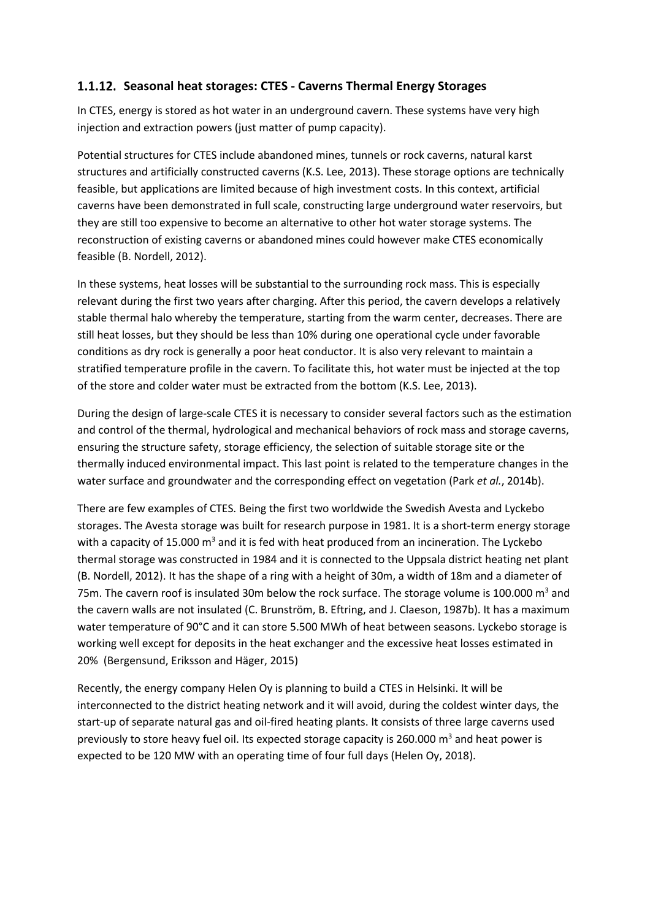#### **Seasonal heat storages: CTES - Caverns Thermal Energy Storages**

In CTES, energy is stored as hot water in an underground cavern. These systems have very high injection and extraction powers (just matter of pump capacity).

Potential structures for CTES include abandoned mines, tunnels or rock caverns, natural karst structures and artificially constructed caverns (K.S. Lee, 2013). These storage options are technically feasible, but applications are limited because of high investment costs. In this context, artificial caverns have been demonstrated in full scale, constructing large underground water reservoirs, but they are still too expensive to become an alternative to other hot water storage systems. The reconstruction of existing caverns or abandoned mines could however make CTES economically feasible (B. Nordell, 2012).

In these systems, heat losses will be substantial to the surrounding rock mass. This is especially relevant during the first two years after charging. After this period, the cavern develops a relatively stable thermal halo whereby the temperature, starting from the warm center, decreases. There are still heat losses, but they should be less than 10% during one operational cycle under favorable conditions as dry rock is generally a poor heat conductor. It is also very relevant to maintain a stratified temperature profile in the cavern. To facilitate this, hot water must be injected at the top of the store and colder water must be extracted from the bottom (K.S. Lee, 2013).

During the design of large-scale CTES it is necessary to consider several factors such as the estimation and control of the thermal, hydrological and mechanical behaviors of rock mass and storage caverns, ensuring the structure safety, storage efficiency, the selection of suitable storage site or the thermally induced environmental impact. This last point is related to the temperature changes in the water surface and groundwater and the corresponding effect on vegetation (Park *et al.*, 2014b).

There are few examples of CTES. Being the first two worldwide the Swedish Avesta and Lyckebo storages. The Avesta storage was built for research purpose in 1981. It is a short-term energy storage with a capacity of 15.000  $\text{m}^3$  and it is fed with heat produced from an incineration. The Lyckebo thermal storage was constructed in 1984 and it is connected to the Uppsala district heating net plant (B. Nordell, 2012). It has the shape of a ring with a height of 30m, a width of 18m and a diameter of 75m. The cavern roof is insulated 30m below the rock surface. The storage volume is 100.000  $\text{m}^3$  and the cavern walls are not insulated (C. Brunström, B. Eftring, and J. Claeson, 1987b). It has a maximum water temperature of 90°C and it can store 5.500 MWh of heat between seasons. Lyckebo storage is working well except for deposits in the heat exchanger and the excessive heat losses estimated in 20% (Bergensund, Eriksson and Häger, 2015)

Recently, the energy company Helen Oy is planning to build a CTES in Helsinki. It will be interconnected to the district heating network and it will avoid, during the coldest winter days, the start-up of separate natural gas and oil-fired heating plants. It consists of three large caverns used previously to store heavy fuel oil. Its expected storage capacity is 260.000  $\text{m}^3$  and heat power is expected to be 120 MW with an operating time of four full days (Helen Oy, 2018).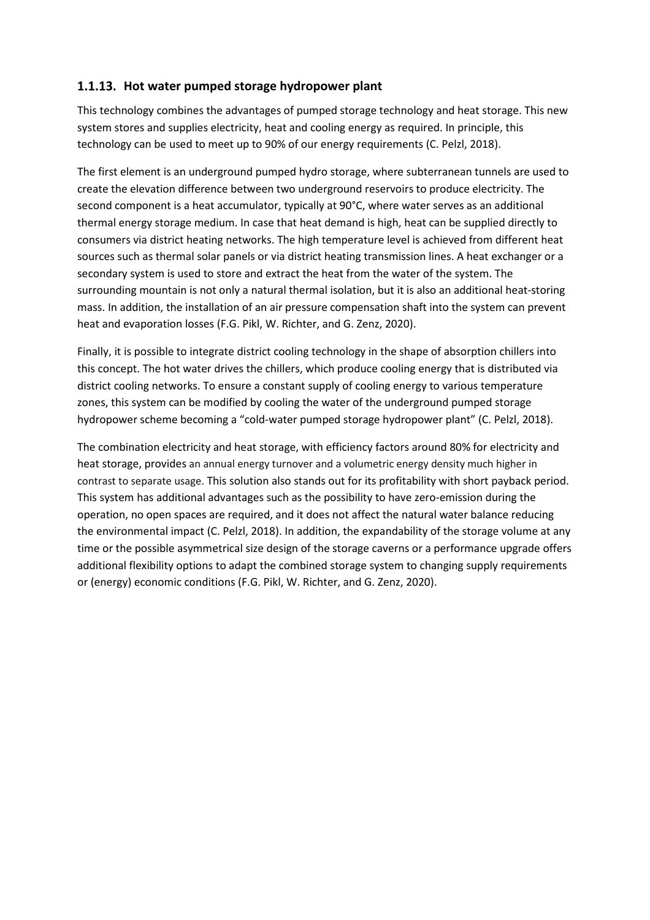#### **Hot water pumped storage hydropower plant**

This technology combines the advantages of pumped storage technology and heat storage. This new system stores and supplies electricity, heat and cooling energy as required. In principle, this technology can be used to meet up to 90% of our energy requirements (C. Pelzl, 2018).

The first element is an underground pumped hydro storage, where subterranean tunnels are used to create the elevation difference between two underground reservoirs to produce electricity. The second component is a heat accumulator, typically at 90°C, where water serves as an additional thermal energy storage medium. In case that heat demand is high, heat can be supplied directly to consumers via district heating networks. The high temperature level is achieved from different heat sources such as thermal solar panels or via district heating transmission lines. A heat exchanger or a secondary system is used to store and extract the heat from the water of the system. The surrounding mountain is not only a natural thermal isolation, but it is also an additional heat-storing mass. In addition, the installation of an air pressure compensation shaft into the system can prevent heat and evaporation losses (F.G. Pikl, W. Richter, and G. Zenz, 2020).

Finally, it is possible to integrate district cooling technology in the shape of absorption chillers into this concept. The hot water drives the chillers, which produce cooling energy that is distributed via district cooling networks. To ensure a constant supply of cooling energy to various temperature zones, this system can be modified by cooling the water of the underground pumped storage hydropower scheme becoming a "cold-water pumped storage hydropower plant" (C. Pelzl, 2018).

The combination electricity and heat storage, with efficiency factors around 80% for electricity and heat storage, provides an annual energy turnover and a volumetric energy density much higher in contrast to separate usage. This solution also stands out for its profitability with short payback period. This system has additional advantages such as the possibility to have zero-emission during the operation, no open spaces are required, and it does not affect the natural water balance reducing the environmental impact (C. Pelzl, 2018). In addition, the expandability of the storage volume at any time or the possible asymmetrical size design of the storage caverns or a performance upgrade offers additional flexibility options to adapt the combined storage system to changing supply requirements or (energy) economic conditions (F.G. Pikl, W. Richter, and G. Zenz, 2020).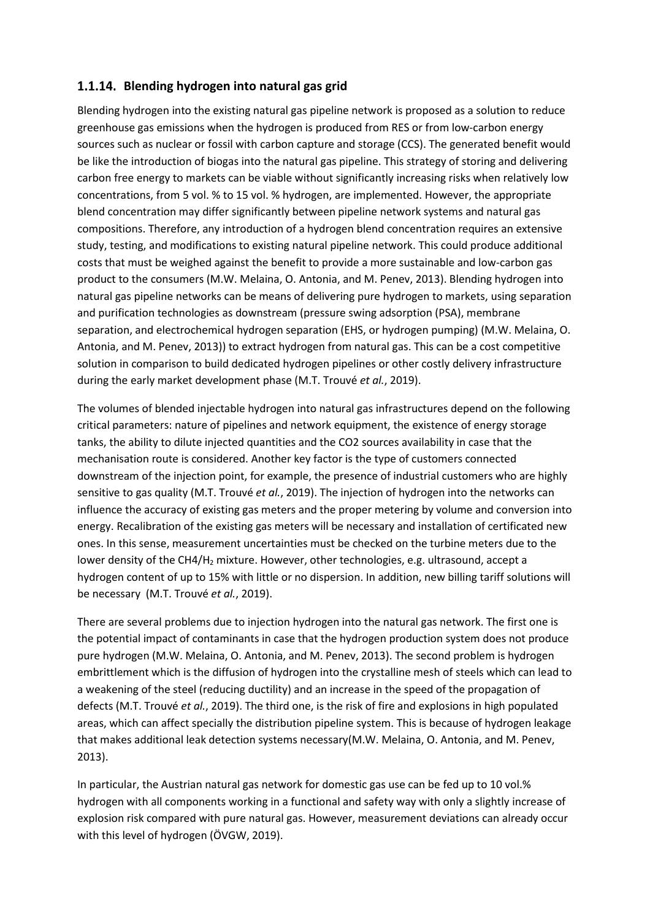#### **Blending hydrogen into natural gas grid**

Blending hydrogen into the existing natural gas pipeline network is proposed as a solution to reduce greenhouse gas emissions when the hydrogen is produced from RES or from low-carbon energy sources such as nuclear or fossil with carbon capture and storage (CCS). The generated benefit would be like the introduction of biogas into the natural gas pipeline. This strategy of storing and delivering carbon free energy to markets can be viable without significantly increasing risks when relatively low concentrations, from 5 vol. % to 15 vol. % hydrogen, are implemented. However, the appropriate blend concentration may differ significantly between pipeline network systems and natural gas compositions. Therefore, any introduction of a hydrogen blend concentration requires an extensive study, testing, and modifications to existing natural pipeline network. This could produce additional costs that must be weighed against the benefit to provide a more sustainable and low-carbon gas product to the consumers (M.W. Melaina, O. Antonia, and M. Penev, 2013). Blending hydrogen into natural gas pipeline networks can be means of delivering pure hydrogen to markets, using separation and purification technologies as downstream (pressure swing adsorption (PSA), membrane separation, and electrochemical hydrogen separation (EHS, or hydrogen pumping) (M.W. Melaina, O. Antonia, and M. Penev, 2013)) to extract hydrogen from natural gas. This can be a cost competitive solution in comparison to build dedicated hydrogen pipelines or other costly delivery infrastructure during the early market development phase (M.T. Trouvé *et al.*, 2019).

The volumes of blended injectable hydrogen into natural gas infrastructures depend on the following critical parameters: nature of pipelines and network equipment, the existence of energy storage tanks, the ability to dilute injected quantities and the CO2 sources availability in case that the mechanisation route is considered. Another key factor is the type of customers connected downstream of the injection point, for example, the presence of industrial customers who are highly sensitive to gas quality (M.T. Trouvé *et al.*, 2019). The injection of hydrogen into the networks can influence the accuracy of existing gas meters and the proper metering by volume and conversion into energy. Recalibration of the existing gas meters will be necessary and installation of certificated new ones. In this sense, measurement uncertainties must be checked on the turbine meters due to the lower density of the CH4/H<sub>2</sub> mixture. However, other technologies, e.g. ultrasound, accept a hydrogen content of up to 15% with little or no dispersion. In addition, new billing tariff solutions will be necessary (M.T. Trouvé *et al.*, 2019).

There are several problems due to injection hydrogen into the natural gas network. The first one is the potential impact of contaminants in case that the hydrogen production system does not produce pure hydrogen (M.W. Melaina, O. Antonia, and M. Penev, 2013). The second problem is hydrogen embrittlement which is the diffusion of hydrogen into the crystalline mesh of steels which can lead to a weakening of the steel (reducing ductility) and an increase in the speed of the propagation of defects (M.T. Trouvé *et al.*, 2019). The third one, is the risk of fire and explosions in high populated areas, which can affect specially the distribution pipeline system. This is because of hydrogen leakage that makes additional leak detection systems necessary(M.W. Melaina, O. Antonia, and M. Penev, 2013).

In particular, the Austrian natural gas network for domestic gas use can be fed up to 10 vol.% hydrogen with all components working in a functional and safety way with only a slightly increase of explosion risk compared with pure natural gas. However, measurement deviations can already occur with this level of hydrogen (ÖVGW, 2019).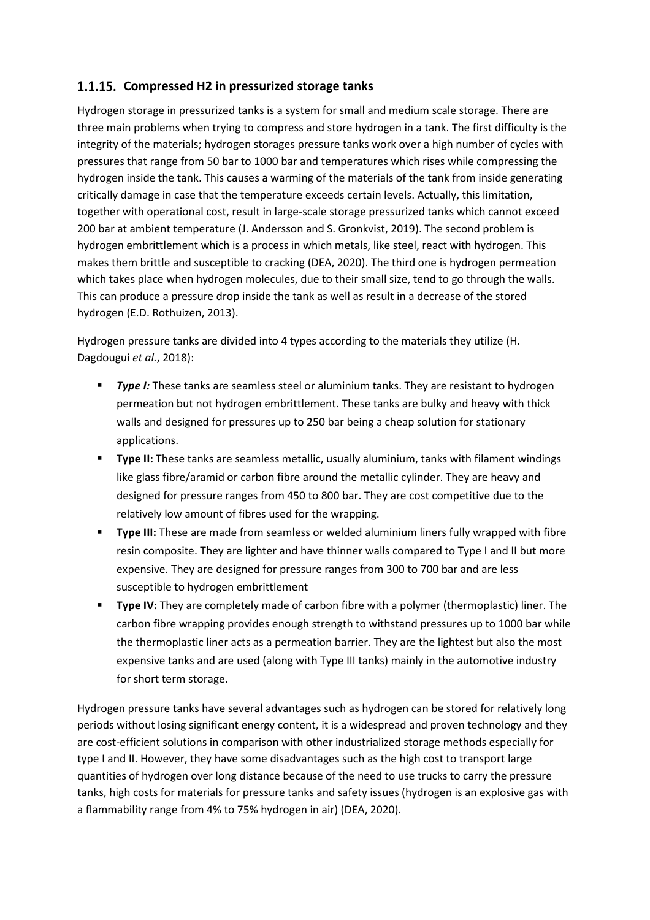#### **Compressed H2 in pressurized storage tanks**

Hydrogen storage in pressurized tanks is a system for small and medium scale storage. There are three main problems when trying to compress and store hydrogen in a tank. The first difficulty is the integrity of the materials; hydrogen storages pressure tanks work over a high number of cycles with pressures that range from 50 bar to 1000 bar and temperatures which rises while compressing the hydrogen inside the tank. This causes a warming of the materials of the tank from inside generating critically damage in case that the temperature exceeds certain levels. Actually, this limitation, together with operational cost, result in large-scale storage pressurized tanks which cannot exceed 200 bar at ambient temperature (J. Andersson and S. Gronkvist, 2019). The second problem is hydrogen embrittlement which is a process in which metals, like steel, react with hydrogen. This makes them brittle and susceptible to cracking (DEA, 2020). The third one is hydrogen permeation which takes place when hydrogen molecules, due to their small size, tend to go through the walls. This can produce a pressure drop inside the tank as well as result in a decrease of the stored hydrogen (E.D. Rothuizen, 2013).

Hydrogen pressure tanks are divided into 4 types according to the materials they utilize (H. Dagdougui *et al.*, 2018):

- **Type I:** These tanks are seamless steel or aluminium tanks. They are resistant to hydrogen permeation but not hydrogen embrittlement. These tanks are bulky and heavy with thick walls and designed for pressures up to 250 bar being a cheap solution for stationary applications.
- **Type II:** These tanks are seamless metallic, usually aluminium, tanks with filament windings like glass fibre/aramid or carbon fibre around the metallic cylinder. They are heavy and designed for pressure ranges from 450 to 800 bar. They are cost competitive due to the relatively low amount of fibres used for the wrapping.
- **Type III:** These are made from seamless or welded aluminium liners fully wrapped with fibre resin composite. They are lighter and have thinner walls compared to Type I and II but more expensive. They are designed for pressure ranges from 300 to 700 bar and are less susceptible to hydrogen embrittlement
- **Type IV:** They are completely made of carbon fibre with a polymer (thermoplastic) liner. The carbon fibre wrapping provides enough strength to withstand pressures up to 1000 bar while the thermoplastic liner acts as a permeation barrier. They are the lightest but also the most expensive tanks and are used (along with Type III tanks) mainly in the automotive industry for short term storage.

Hydrogen pressure tanks have several advantages such as hydrogen can be stored for relatively long periods without losing significant energy content, it is a widespread and proven technology and they are cost-efficient solutions in comparison with other industrialized storage methods especially for type I and II. However, they have some disadvantages such as the high cost to transport large quantities of hydrogen over long distance because of the need to use trucks to carry the pressure tanks, high costs for materials for pressure tanks and safety issues (hydrogen is an explosive gas with a flammability range from 4% to 75% hydrogen in air) (DEA, 2020).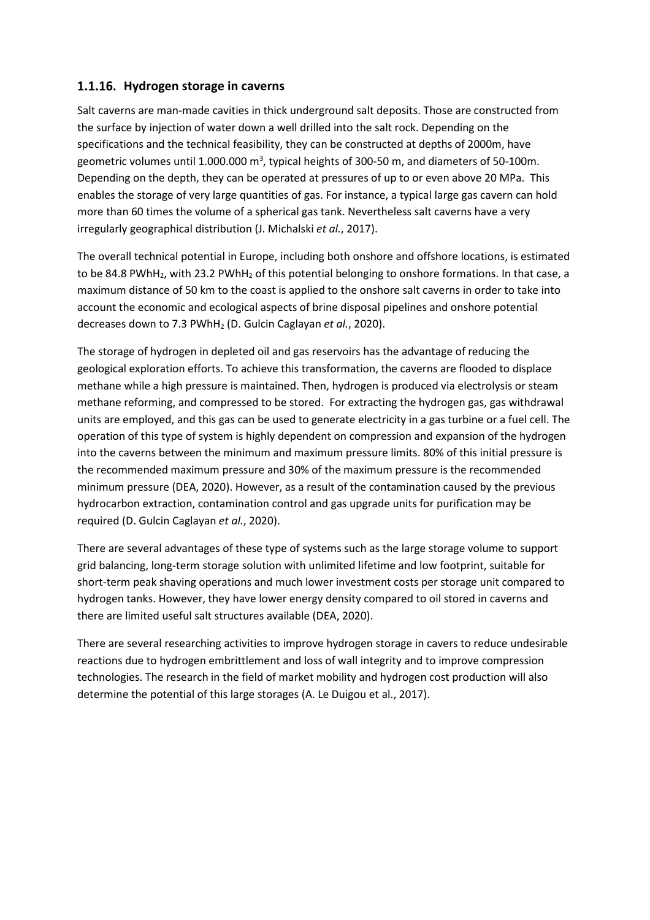#### **Hydrogen storage in caverns**

Salt caverns are man-made cavities in thick underground salt deposits. Those are constructed from the surface by injection of water down a well drilled into the salt rock. Depending on the specifications and the technical feasibility, they can be constructed at depths of 2000m, have geometric volumes until 1.000.000 m<sup>3</sup>, typical heights of 300-50 m, and diameters of 50-100m. Depending on the depth, they can be operated at pressures of up to or even above 20 MPa. This enables the storage of very large quantities of gas. For instance, a typical large gas cavern can hold more than 60 times the volume of a spherical gas tank. Nevertheless salt caverns have a very irregularly geographical distribution (J. Michalski *et al.*, 2017).

The overall technical potential in Europe, including both onshore and offshore locations, is estimated to be 84.8 PWhH<sub>2</sub>, with 23.2 PWhH<sub>2</sub> of this potential belonging to onshore formations. In that case, a maximum distance of 50 km to the coast is applied to the onshore salt caverns in order to take into account the economic and ecological aspects of brine disposal pipelines and onshore potential decreases down to 7.3 PWhH<sup>2</sup> (D. Gulcin Caglayan *et al.*, 2020).

The storage of hydrogen in depleted oil and gas reservoirs has the advantage of reducing the geological exploration efforts. To achieve this transformation, the caverns are flooded to displace methane while a high pressure is maintained. Then, hydrogen is produced via electrolysis or steam methane reforming, and compressed to be stored. For extracting the hydrogen gas, gas withdrawal units are employed, and this gas can be used to generate electricity in a gas turbine or a fuel cell. The operation of this type of system is highly dependent on compression and expansion of the hydrogen into the caverns between the minimum and maximum pressure limits. 80% of this initial pressure is the recommended maximum pressure and 30% of the maximum pressure is the recommended minimum pressure (DEA, 2020). However, as a result of the contamination caused by the previous hydrocarbon extraction, contamination control and gas upgrade units for purification may be required (D. Gulcin Caglayan *et al.*, 2020).

There are several advantages of these type of systems such as the large storage volume to support grid balancing, long-term storage solution with unlimited lifetime and low footprint, suitable for short-term peak shaving operations and much lower investment costs per storage unit compared to hydrogen tanks. However, they have lower energy density compared to oil stored in caverns and there are limited useful salt structures available (DEA, 2020).

There are several researching activities to improve hydrogen storage in cavers to reduce undesirable reactions due to hydrogen embrittlement and loss of wall integrity and to improve compression technologies. The research in the field of market mobility and hydrogen cost production will also determine the potential of this large storages (A. Le Duigou et al., 2017).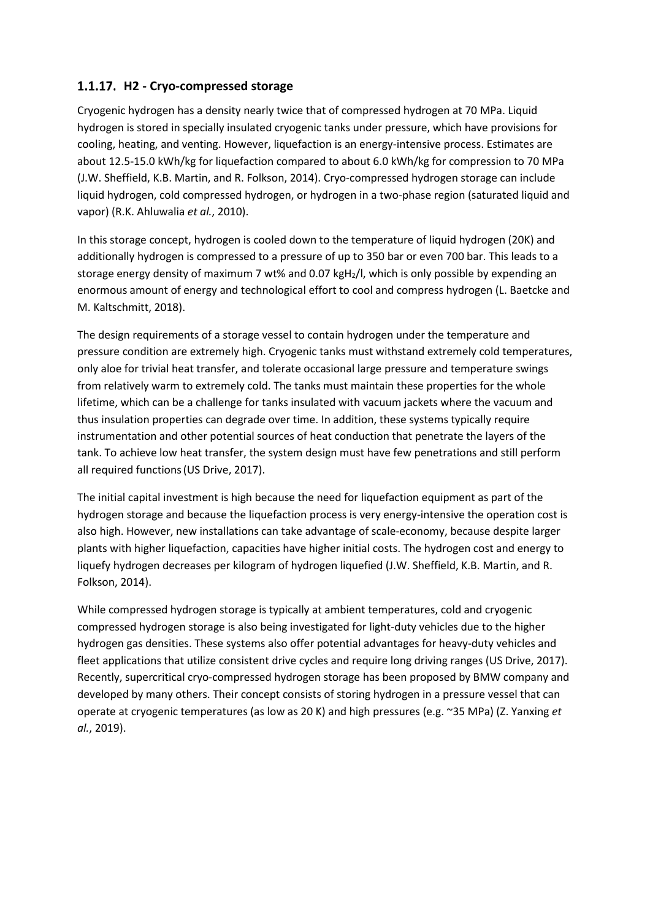#### **H2 - Cryo-compressed storage**

Cryogenic hydrogen has a density nearly twice that of compressed hydrogen at 70 MPa. Liquid hydrogen is stored in specially insulated cryogenic tanks under pressure, which have provisions for cooling, heating, and venting. However, liquefaction is an energy-intensive process. Estimates are about 12.5-15.0 kWh/kg for liquefaction compared to about 6.0 kWh/kg for compression to 70 MPa (J.W. Sheffield, K.B. Martin, and R. Folkson, 2014). Cryo-compressed hydrogen storage can include liquid hydrogen, cold compressed hydrogen, or hydrogen in a two-phase region (saturated liquid and vapor) (R.K. Ahluwalia *et al.*, 2010).

In this storage concept, hydrogen is cooled down to the temperature of liquid hydrogen (20K) and additionally hydrogen is compressed to a pressure of up to 350 bar or even 700 bar. This leads to a storage energy density of maximum 7 wt% and 0.07 kgH2/l, which is only possible by expending an enormous amount of energy and technological effort to cool and compress hydrogen (L. Baetcke and M. Kaltschmitt, 2018).

The design requirements of a storage vessel to contain hydrogen under the temperature and pressure condition are extremely high. Cryogenic tanks must withstand extremely cold temperatures, only aloe for trivial heat transfer, and tolerate occasional large pressure and temperature swings from relatively warm to extremely cold. The tanks must maintain these properties for the whole lifetime, which can be a challenge for tanks insulated with vacuum jackets where the vacuum and thus insulation properties can degrade over time. In addition, these systems typically require instrumentation and other potential sources of heat conduction that penetrate the layers of the tank. To achieve low heat transfer, the system design must have few penetrations and still perform all required functions(US Drive, 2017).

The initial capital investment is high because the need for liquefaction equipment as part of the hydrogen storage and because the liquefaction process is very energy-intensive the operation cost is also high. However, new installations can take advantage of scale-economy, because despite larger plants with higher liquefaction, capacities have higher initial costs. The hydrogen cost and energy to liquefy hydrogen decreases per kilogram of hydrogen liquefied (J.W. Sheffield, K.B. Martin, and R. Folkson, 2014).

While compressed hydrogen storage is typically at ambient temperatures, cold and cryogenic compressed hydrogen storage is also being investigated for light-duty vehicles due to the higher hydrogen gas densities. These systems also offer potential advantages for heavy-duty vehicles and fleet applications that utilize consistent drive cycles and require long driving ranges (US Drive, 2017). Recently, supercritical cryo-compressed hydrogen storage has been proposed by BMW company and developed by many others. Their concept consists of storing hydrogen in a pressure vessel that can operate at cryogenic temperatures (as low as 20 K) and high pressures (e.g. ~35 MPa) (Z. Yanxing *et al.*, 2019).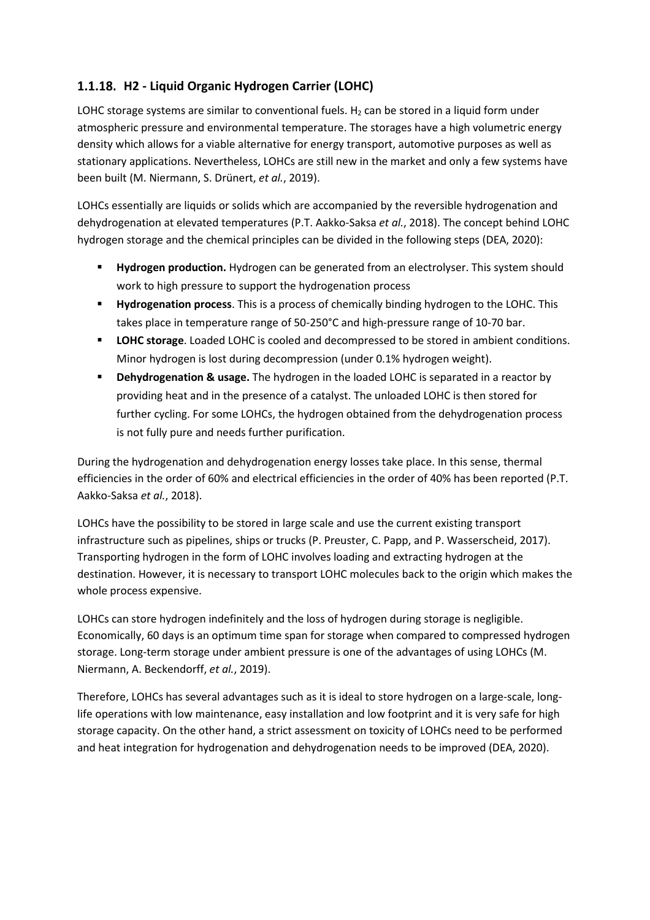### **H2 - Liquid Organic Hydrogen Carrier (LOHC)**

LOHC storage systems are similar to conventional fuels.  $H<sub>2</sub>$  can be stored in a liquid form under atmospheric pressure and environmental temperature. The storages have a high volumetric energy density which allows for a viable alternative for energy transport, automotive purposes as well as stationary applications. Nevertheless, LOHCs are still new in the market and only a few systems have been built (M. Niermann, S. Drünert, *et al.*, 2019).

LOHCs essentially are liquids or solids which are accompanied by the reversible hydrogenation and dehydrogenation at elevated temperatures (P.T. Aakko-Saksa *et al.*, 2018). The concept behind LOHC hydrogen storage and the chemical principles can be divided in the following steps (DEA, 2020):

- **Hydrogen production.** Hydrogen can be generated from an electrolyser. This system should work to high pressure to support the hydrogenation process
- **Hydrogenation process**. This is a process of chemically binding hydrogen to the LOHC. This takes place in temperature range of 50-250°C and high-pressure range of 10-70 bar.
- **EXECT STORE STORG LOGE ACT STORE AND INCOCOLLY ACT ACT ACT STORE IN AMAGE STARK CONDUCTS LOGE THE STARK CONDUCTS LOGE TO HOMOGLOGE LOGE CONDUCTS.** Minor hydrogen is lost during decompression (under 0.1% hydrogen weight).
- **EXP** Dehydrogenation & usage. The hydrogen in the loaded LOHC is separated in a reactor by providing heat and in the presence of a catalyst. The unloaded LOHC is then stored for further cycling. For some LOHCs, the hydrogen obtained from the dehydrogenation process is not fully pure and needs further purification.

During the hydrogenation and dehydrogenation energy losses take place. In this sense, thermal efficiencies in the order of 60% and electrical efficiencies in the order of 40% has been reported (P.T. Aakko-Saksa *et al.*, 2018).

LOHCs have the possibility to be stored in large scale and use the current existing transport infrastructure such as pipelines, ships or trucks (P. Preuster, C. Papp, and P. Wasserscheid, 2017). Transporting hydrogen in the form of LOHC involves loading and extracting hydrogen at the destination. However, it is necessary to transport LOHC molecules back to the origin which makes the whole process expensive.

LOHCs can store hydrogen indefinitely and the loss of hydrogen during storage is negligible. Economically, 60 days is an optimum time span for storage when compared to compressed hydrogen storage. Long-term storage under ambient pressure is one of the advantages of using LOHCs (M. Niermann, A. Beckendorff, *et al.*, 2019).

Therefore, LOHCs has several advantages such as it is ideal to store hydrogen on a large-scale, longlife operations with low maintenance, easy installation and low footprint and it is very safe for high storage capacity. On the other hand, a strict assessment on toxicity of LOHCs need to be performed and heat integration for hydrogenation and dehydrogenation needs to be improved (DEA, 2020).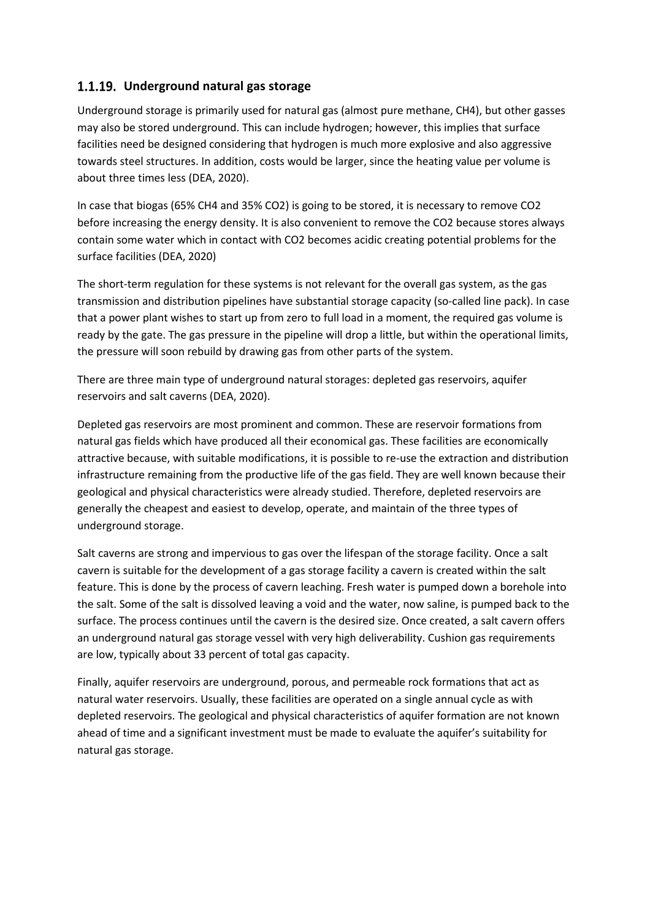#### **Underground natural gas storage**

Underground storage is primarily used for natural gas (almost pure methane, CH4), but other gasses may also be stored underground. This can include hydrogen; however, this implies that surface facilities need be designed considering that hydrogen is much more explosive and also aggressive towards steel structures. In addition, costs would be larger, since the heating value per volume is about three times less (DEA, 2020).

In case that biogas (65% CH4 and 35% CO2) is going to be stored, it is necessary to remove CO2 before increasing the energy density. It is also convenient to remove the CO2 because stores always contain some water which in contact with CO2 becomes acidic creating potential problems for the surface facilities (DEA, 2020)

The short-term regulation for these systems is not relevant for the overall gas system, as the gas transmission and distribution pipelines have substantial storage capacity (so-called line pack). In case that a power plant wishes to start up from zero to full load in a moment, the required gas volume is ready by the gate. The gas pressure in the pipeline will drop a little, but within the operational limits, the pressure will soon rebuild by drawing gas from other parts of the system.

There are three main type of underground natural storages: depleted gas reservoirs, aquifer reservoirs and salt caverns (DEA, 2020).

Depleted gas reservoirs are most prominent and common. These are reservoir formations from natural gas fields which have produced all their economical gas. These facilities are economically attractive because, with suitable modifications, it is possible to re-use the extraction and distribution infrastructure remaining from the productive life of the gas field. They are well known because their geological and physical characteristics were already studied. Therefore, depleted reservoirs are generally the cheapest and easiest to develop, operate, and maintain of the three types of underground storage.

Salt caverns are strong and impervious to gas over the lifespan of the storage facility. Once a salt cavern is suitable for the development of a gas storage facility a cavern is created within the salt feature. This is done by the process of cavern leaching. Fresh water is pumped down a borehole into the salt. Some of the salt is dissolved leaving a void and the water, now saline, is pumped back to the surface. The process continues until the cavern is the desired size. Once created, a salt cavern offers an underground natural gas storage vessel with very high deliverability. Cushion gas requirements are low, typically about 33 percent of total gas capacity.

Finally, aquifer reservoirs are underground, porous, and permeable rock formations that act as natural water reservoirs. Usually, these facilities are operated on a single annual cycle as with depleted reservoirs. The geological and physical characteristics of aquifer formation are not known ahead of time and a significant investment must be made to evaluate the aquifer's suitability for natural gas storage.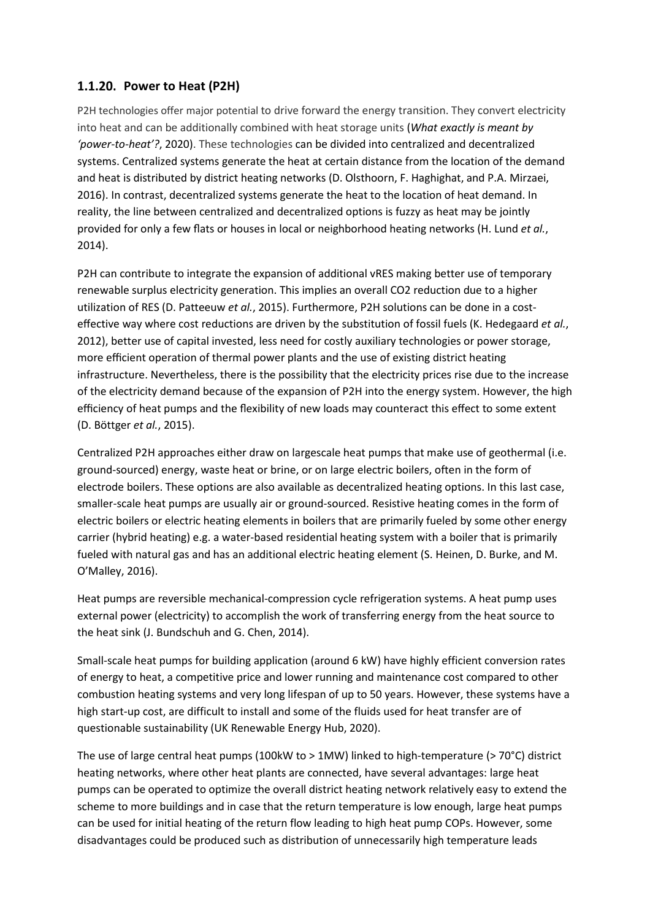#### **Power to Heat (P2H)**

P2H technologies offer major potential to drive forward the energy transition. They convert electricity into heat and can be additionally combined with heat storage units (*What exactly is meant by 'power-to-heat'?*, 2020). These technologies can be divided into centralized and decentralized systems. Centralized systems generate the heat at certain distance from the location of the demand and heat is distributed by district heating networks (D. Olsthoorn, F. Haghighat, and P.A. Mirzaei, 2016). In contrast, decentralized systems generate the heat to the location of heat demand. In reality, the line between centralized and decentralized options is fuzzy as heat may be jointly provided for only a few flats or houses in local or neighborhood heating networks (H. Lund *et al.*, 2014).

P2H can contribute to integrate the expansion of additional vRES making better use of temporary renewable surplus electricity generation. This implies an overall CO2 reduction due to a higher utilization of RES (D. Patteeuw *et al.*, 2015). Furthermore, P2H solutions can be done in a costeffective way where cost reductions are driven by the substitution of fossil fuels (K. Hedegaard *et al.*, 2012), better use of capital invested, less need for costly auxiliary technologies or power storage, more efficient operation of thermal power plants and the use of existing district heating infrastructure. Nevertheless, there is the possibility that the electricity prices rise due to the increase of the electricity demand because of the expansion of P2H into the energy system. However, the high efficiency of heat pumps and the flexibility of new loads may counteract this effect to some extent (D. Böttger *et al.*, 2015).

Centralized P2H approaches either draw on largescale heat pumps that make use of geothermal (i.e. ground-sourced) energy, waste heat or brine, or on large electric boilers, often in the form of electrode boilers. These options are also available as decentralized heating options. In this last case, smaller-scale heat pumps are usually air or ground-sourced. Resistive heating comes in the form of electric boilers or electric heating elements in boilers that are primarily fueled by some other energy carrier (hybrid heating) e.g. a water-based residential heating system with a boiler that is primarily fueled with natural gas and has an additional electric heating element (S. Heinen, D. Burke, and M. O'Malley, 2016).

Heat pumps are reversible mechanical-compression cycle refrigeration systems. A heat pump uses external power (electricity) to accomplish the work of transferring energy from the heat source to the heat sink (J. Bundschuh and G. Chen, 2014).

Small-scale heat pumps for building application (around 6 kW) have highly efficient conversion rates of energy to heat, a competitive price and lower running and maintenance cost compared to other combustion heating systems and very long lifespan of up to 50 years. However, these systems have a high start-up cost, are difficult to install and some of the fluids used for heat transfer are of questionable sustainability (UK Renewable Energy Hub, 2020).

The use of large central heat pumps (100kW to  $> 1$ MW) linked to high-temperature ( $> 70^{\circ}$ C) district heating networks, where other heat plants are connected, have several advantages: large heat pumps can be operated to optimize the overall district heating network relatively easy to extend the scheme to more buildings and in case that the return temperature is low enough, large heat pumps can be used for initial heating of the return flow leading to high heat pump COPs. However, some disadvantages could be produced such as distribution of unnecessarily high temperature leads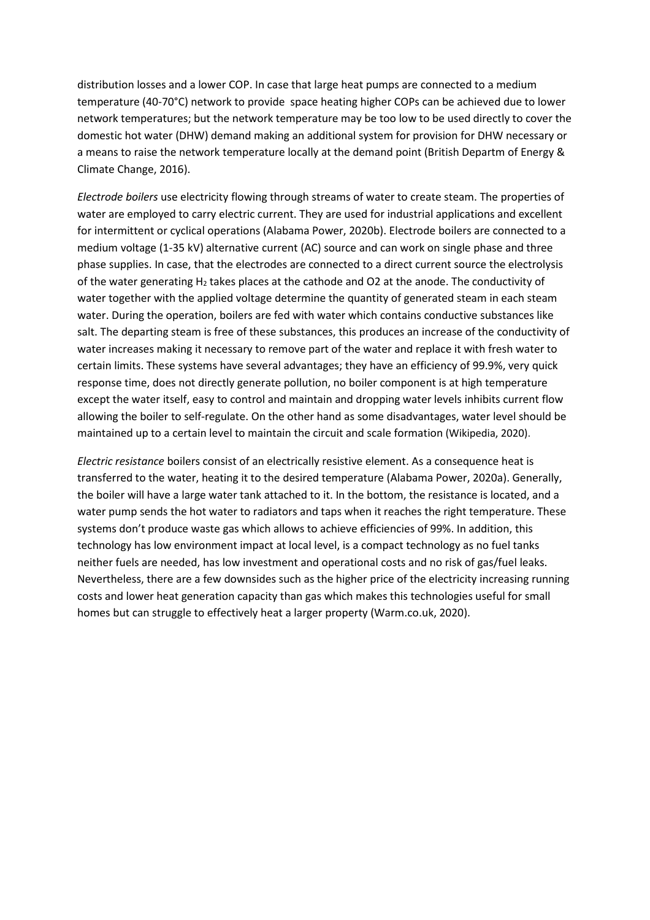distribution losses and a lower COP. In case that large heat pumps are connected to a medium temperature (40-70°C) network to provide space heating higher COPs can be achieved due to lower network temperatures; but the network temperature may be too low to be used directly to cover the domestic hot water (DHW) demand making an additional system for provision for DHW necessary or a means to raise the network temperature locally at the demand point (British Departm of Energy & Climate Change, 2016).

*Electrode boilers* use electricity flowing through streams of water to create steam. The properties of water are employed to carry electric current. They are used for industrial applications and excellent for intermittent or cyclical operations (Alabama Power, 2020b). Electrode boilers are connected to a medium voltage (1-35 kV) alternative current (AC) source and can work on single phase and three phase supplies. In case, that the electrodes are connected to a direct current source the electrolysis of the water generating  $H_2$  takes places at the cathode and O2 at the anode. The conductivity of water together with the applied voltage determine the quantity of generated steam in each steam water. During the operation, boilers are fed with water which contains conductive substances like salt. The departing steam is free of these substances, this produces an increase of the conductivity of water increases making it necessary to remove part of the water and replace it with fresh water to certain limits. These systems have several advantages; they have an efficiency of 99.9%, very quick response time, does not directly generate pollution, no boiler component is at high temperature except the water itself, easy to control and maintain and dropping water levels inhibits current flow allowing the boiler to self-regulate. On the other hand as some disadvantages, water level should be maintained up to a certain level to maintain the circuit and scale formation (Wikipedia, 2020).

*Electric resistance* boilers consist of an electrically resistive element. As a consequence heat is transferred to the water, heating it to the desired temperature (Alabama Power, 2020a). Generally, the boiler will have a large water tank attached to it. In the bottom, the resistance is located, and a water pump sends the hot water to radiators and taps when it reaches the right temperature. These systems don't produce waste gas which allows to achieve efficiencies of 99%. In addition, this technology has low environment impact at local level, is a compact technology as no fuel tanks neither fuels are needed, has low investment and operational costs and no risk of gas/fuel leaks. Nevertheless, there are a few downsides such as the higher price of the electricity increasing running costs and lower heat generation capacity than gas which makes this technologies useful for small homes but can struggle to effectively heat a larger property (Warm.co.uk, 2020).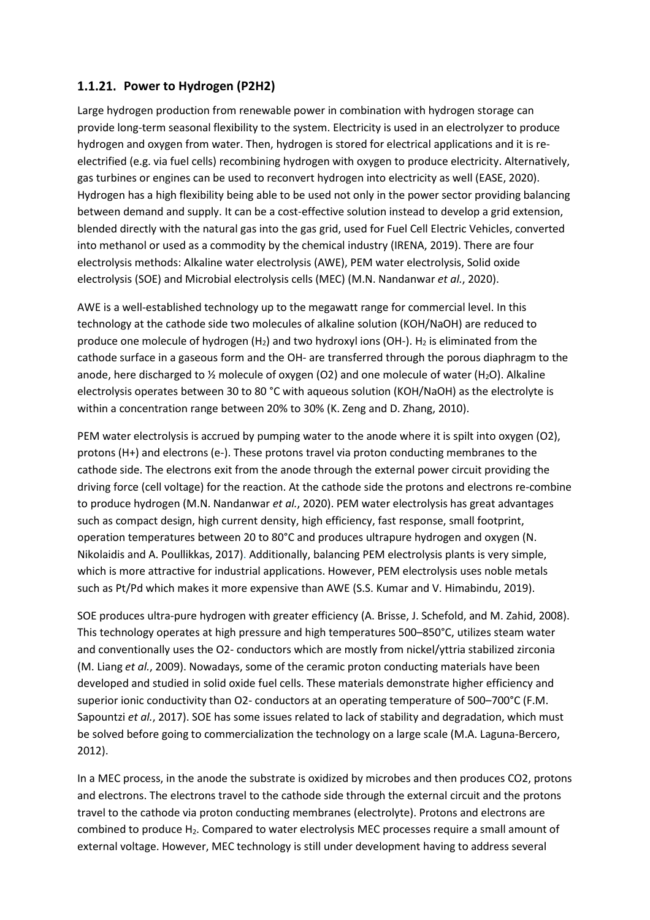#### **Power to Hydrogen (P2H2)**

Large hydrogen production from renewable power in combination with hydrogen storage can provide long-term seasonal flexibility to the system. Electricity is used in an electrolyzer to produce hydrogen and oxygen from water. Then, hydrogen is stored for electrical applications and it is reelectrified (e.g. via fuel cells) recombining hydrogen with oxygen to produce electricity. Alternatively, gas turbines or engines can be used to reconvert hydrogen into electricity as well (EASE, 2020). Hydrogen has a high flexibility being able to be used not only in the power sector providing balancing between demand and supply. It can be a cost-effective solution instead to develop a grid extension, blended directly with the natural gas into the gas grid, used for Fuel Cell Electric Vehicles, converted into methanol or used as a commodity by the chemical industry (IRENA, 2019). There are four electrolysis methods: Alkaline water electrolysis (AWE), PEM water electrolysis, Solid oxide electrolysis (SOE) and Microbial electrolysis cells (MEC) (M.N. Nandanwar *et al.*, 2020).

AWE is a well-established technology up to the megawatt range for commercial level. In this technology at the cathode side two molecules of alkaline solution (KOH/NaOH) are reduced to produce one molecule of hydrogen  $(H_2)$  and two hydroxyl ions (OH-). H<sub>2</sub> is eliminated from the cathode surface in a gaseous form and the OH- are transferred through the porous diaphragm to the anode, here discharged to  $\frac{1}{2}$  molecule of oxygen (O2) and one molecule of water (H<sub>2</sub>O). Alkaline electrolysis operates between 30 to 80 °C with aqueous solution (KOH/NaOH) as the electrolyte is within a concentration range between 20% to 30% (K. Zeng and D. Zhang, 2010).

PEM water electrolysis is accrued by pumping water to the anode where it is spilt into oxygen (O2), protons (H+) and electrons (e-). These protons travel via proton conducting membranes to the cathode side. The electrons exit from the anode through the external power circuit providing the driving force (cell voltage) for the reaction. At the cathode side the protons and electrons re-combine to produce hydrogen (M.N. Nandanwar *et al.*, 2020). PEM water electrolysis has great advantages such as compact design, high current density, high efficiency, fast response, small footprint, operation temperatures between 20 to 80°C and produces ultrapure hydrogen and oxygen (N. Nikolaidis and A. Poullikkas, 2017). Additionally, balancing PEM electrolysis plants is very simple, which is more attractive for industrial applications. However, PEM electrolysis uses noble metals such as Pt/Pd which makes it more expensive than AWE (S.S. Kumar and V. Himabindu, 2019).

SOE produces ultra-pure hydrogen with greater efficiency (A. Brisse, J. Schefold, and M. Zahid, 2008). This technology operates at high pressure and high temperatures 500–850°C, utilizes steam water and conventionally uses the O2- conductors which are mostly from nickel/yttria stabilized zirconia (M. Liang *et al.*, 2009). Nowadays, some of the ceramic proton conducting materials have been developed and studied in solid oxide fuel cells. These materials demonstrate higher efficiency and superior ionic conductivity than O2- conductors at an operating temperature of 500-700°C (F.M. Sapountzi *et al.*, 2017). SOE has some issues related to lack of stability and degradation, which must be solved before going to commercialization the technology on a large scale (M.A. Laguna-Bercero, 2012).

In a MEC process, in the anode the substrate is oxidized by microbes and then produces CO2, protons and electrons. The electrons travel to the cathode side through the external circuit and the protons travel to the cathode via proton conducting membranes (electrolyte). Protons and electrons are combined to produce H2. Compared to water electrolysis MEC processes require a small amount of external voltage. However, MEC technology is still under development having to address several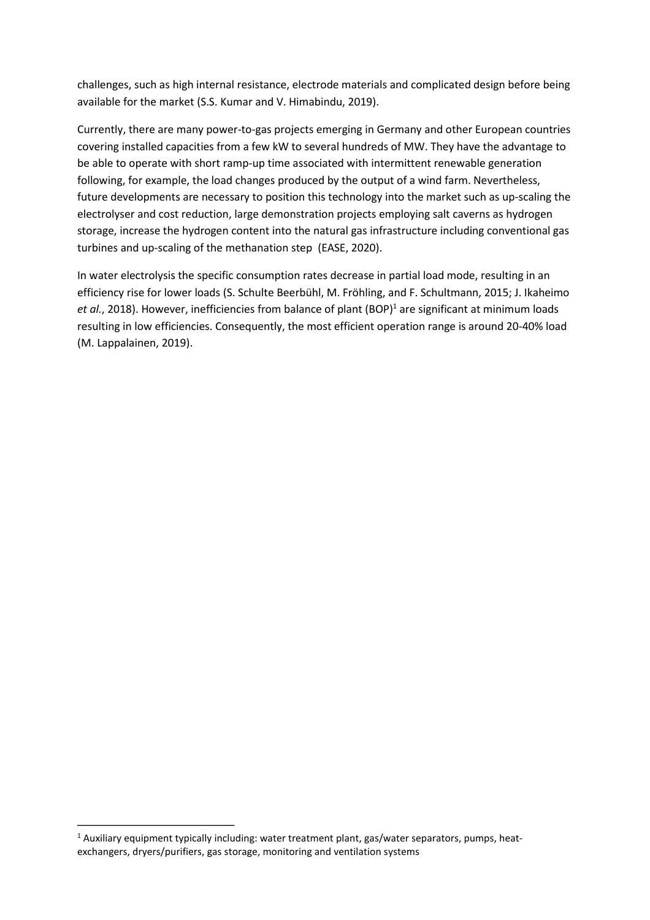challenges, such as high internal resistance, electrode materials and complicated design before being available for the market (S.S. Kumar and V. Himabindu, 2019).

Currently, there are many power-to-gas projects emerging in Germany and other European countries covering installed capacities from a few kW to several hundreds of MW. They have the advantage to be able to operate with short ramp-up time associated with intermittent renewable generation following, for example, the load changes produced by the output of a wind farm. Nevertheless, future developments are necessary to position this technology into the market such as up-scaling the electrolyser and cost reduction, large demonstration projects employing salt caverns as hydrogen storage, increase the hydrogen content into the natural gas infrastructure including conventional gas turbines and up-scaling of the methanation step (EASE, 2020).

<span id="page-24-1"></span>In water electrolysis the specific consumption rates decrease in partial load mode, resulting in an efficiency rise for lower loads (S. Schulte Beerbühl, M. Fröhling, and F. Schultmann, 2015; J. Ikaheimo *et al.*, 20[1](#page-24-0)8). However, inefficiencies from balance of plant (BOP)<sup>1</sup> are significant at minimum loads resulting in low efficiencies. Consequently, the most efficient operation range is around 20-40% load (M. Lappalainen, 2019).

<span id="page-24-0"></span><sup>&</sup>lt;sup>[1](#page-24-1)</sup> Auxiliary equipment typically including: water treatment plant, gas/water separators, pumps, heatexchangers, dryers/purifiers, gas storage, monitoring and ventilation systems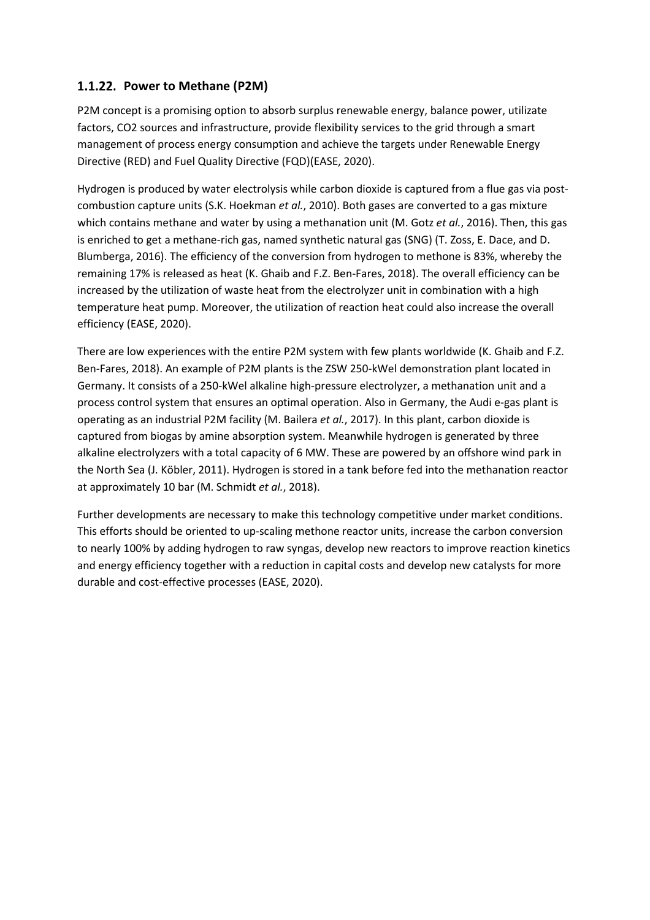#### **Power to Methane (P2M)**

P2M concept is a promising option to absorb surplus renewable energy, balance power, utilizate factors, CO2 sources and infrastructure, provide flexibility services to the grid through a smart management of process energy consumption and achieve the targets under Renewable Energy Directive (RED) and Fuel Quality Directive (FQD)(EASE, 2020).

Hydrogen is produced by water electrolysis while carbon dioxide is captured from a flue gas via postcombustion capture units (S.K. Hoekman *et al.*, 2010). Both gases are converted to a gas mixture which contains methane and water by using a methanation unit (M. Gotz *et al.*, 2016). Then, this gas is enriched to get a methane-rich gas, named synthetic natural gas (SNG) (T. Zoss, E. Dace, and D. Blumberga, 2016). The efficiency of the conversion from hydrogen to methone is 83%, whereby the remaining 17% is released as heat (K. Ghaib and F.Z. Ben-Fares, 2018). The overall efficiency can be increased by the utilization of waste heat from the electrolyzer unit in combination with a high temperature heat pump. Moreover, the utilization of reaction heat could also increase the overall efficiency (EASE, 2020).

There are low experiences with the entire P2M system with few plants worldwide (K. Ghaib and F.Z. Ben-Fares, 2018). An example of P2M plants is the ZSW 250-kWel demonstration plant located in Germany. It consists of a 250-kWel alkaline high-pressure electrolyzer, a methanation unit and a process control system that ensures an optimal operation. Also in Germany, the Audi e-gas plant is operating as an industrial P2M facility (M. Bailera *et al.*, 2017). In this plant, carbon dioxide is captured from biogas by amine absorption system. Meanwhile hydrogen is generated by three alkaline electrolyzers with a total capacity of 6 MW. These are powered by an offshore wind park in the North Sea (J. Köbler, 2011). Hydrogen is stored in a tank before fed into the methanation reactor at approximately 10 bar (M. Schmidt *et al.*, 2018).

Further developments are necessary to make this technology competitive under market conditions. This efforts should be oriented to up-scaling methone reactor units, increase the carbon conversion to nearly 100% by adding hydrogen to raw syngas, develop new reactors to improve reaction kinetics and energy efficiency together with a reduction in capital costs and develop new catalysts for more durable and cost-effective processes (EASE, 2020).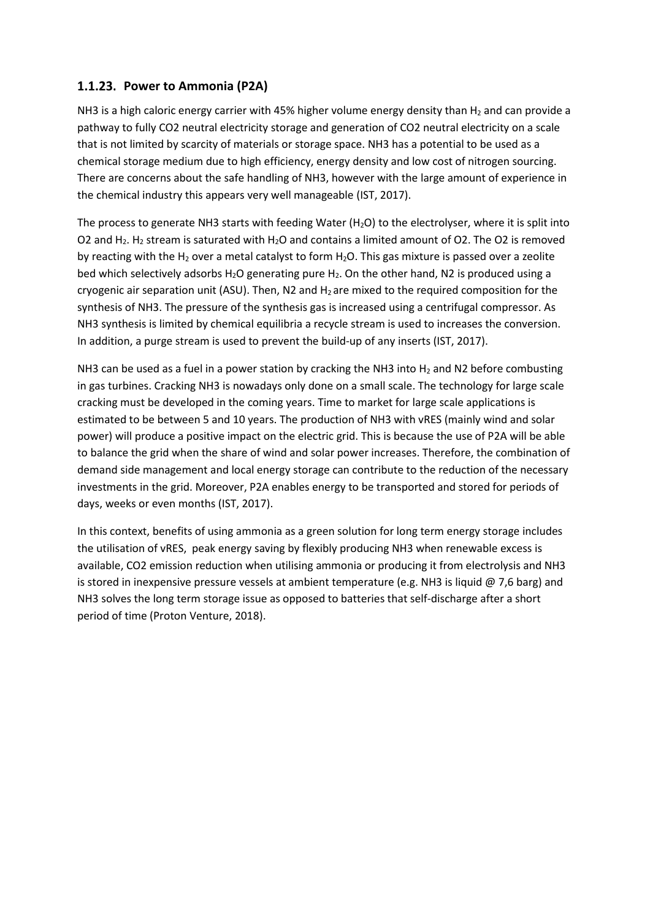#### **Power to Ammonia (P2A)**

NH3 is a high caloric energy carrier with 45% higher volume energy density than  $H_2$  and can provide a pathway to fully CO2 neutral electricity storage and generation of CO2 neutral electricity on a scale that is not limited by scarcity of materials or storage space. NH3 has a potential to be used as a chemical storage medium due to high efficiency, energy density and low cost of nitrogen sourcing. There are concerns about the safe handling of NH3, however with the large amount of experience in the chemical industry this appears very well manageable (IST, 2017).

The process to generate NH3 starts with feeding Water ( $H_2O$ ) to the electrolyser, where it is split into O2 and H<sub>2</sub>. H<sub>2</sub> stream is saturated with H<sub>2</sub>O and contains a limited amount of O2. The O2 is removed by reacting with the H<sub>2</sub> over a metal catalyst to form H<sub>2</sub>O. This gas mixture is passed over a zeolite bed which selectively adsorbs H<sub>2</sub>O generating pure H<sub>2</sub>. On the other hand, N2 is produced using a cryogenic air separation unit (ASU). Then, N2 and  $H_2$  are mixed to the required composition for the synthesis of NH3. The pressure of the synthesis gas is increased using a centrifugal compressor. As NH3 synthesis is limited by chemical equilibria a recycle stream is used to increases the conversion. In addition, a purge stream is used to prevent the build-up of any inserts (IST, 2017).

NH3 can be used as a fuel in a power station by cracking the NH3 into  $H_2$  and N2 before combusting in gas turbines. Cracking NH3 is nowadays only done on a small scale. The technology for large scale cracking must be developed in the coming years. Time to market for large scale applications is estimated to be between 5 and 10 years. The production of NH3 with vRES (mainly wind and solar power) will produce a positive impact on the electric grid. This is because the use of P2A will be able to balance the grid when the share of wind and solar power increases. Therefore, the combination of demand side management and local energy storage can contribute to the reduction of the necessary investments in the grid. Moreover, P2A enables energy to be transported and stored for periods of days, weeks or even months (IST, 2017).

In this context, benefits of using ammonia as a green solution for long term energy storage includes the utilisation of vRES, peak energy saving by flexibly producing NH3 when renewable excess is available, CO2 emission reduction when utilising ammonia or producing it from electrolysis and NH3 is stored in inexpensive pressure vessels at ambient temperature (e.g. NH3 is liquid  $@$  7,6 barg) and NH3 solves the long term storage issue as opposed to batteries that self-discharge after a short period of time (Proton Venture, 2018).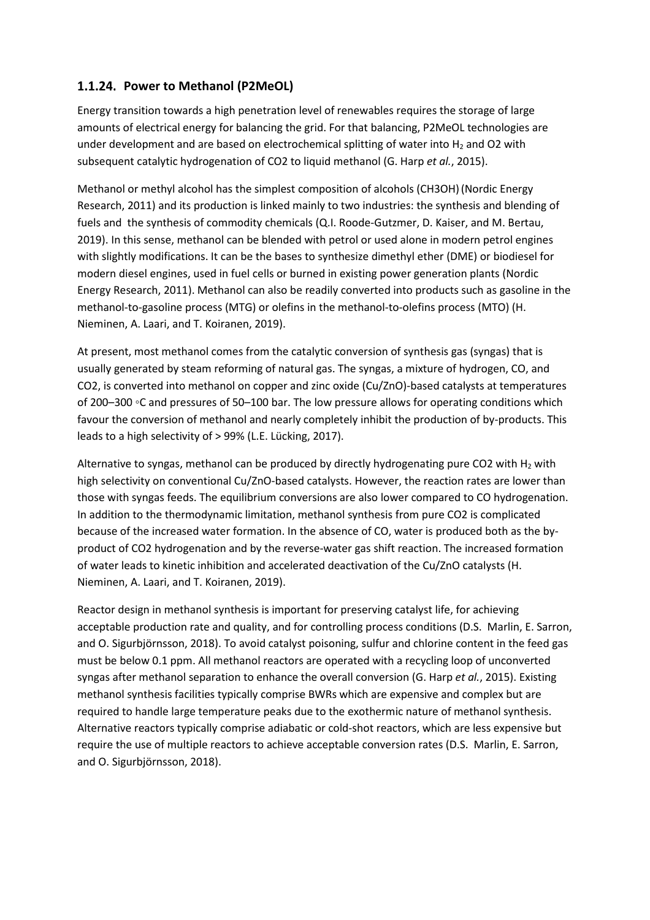#### **Power to Methanol (P2MeOL)**

Energy transition towards a high penetration level of renewables requires the storage of large amounts of electrical energy for balancing the grid. For that balancing, P2MeOL technologies are under development and are based on electrochemical splitting of water into  $H_2$  and O2 with subsequent catalytic hydrogenation of CO2 to liquid methanol (G. Harp *et al.*, 2015).

Methanol or methyl alcohol has the simplest composition of alcohols (CH3OH)(Nordic Energy Research, 2011) and its production is linked mainly to two industries: the synthesis and blending of fuels and the synthesis of commodity chemicals (Q.I. Roode-Gutzmer, D. Kaiser, and M. Bertau, 2019). In this sense, methanol can be blended with petrol or used alone in modern petrol engines with slightly modifications. It can be the bases to synthesize dimethyl ether (DME) or biodiesel for modern diesel engines, used in fuel cells or burned in existing power generation plants (Nordic Energy Research, 2011). Methanol can also be readily converted into products such as gasoline in the methanol-to-gasoline process (MTG) or olefins in the methanol-to-olefins process (MTO) (H. Nieminen, A. Laari, and T. Koiranen, 2019).

At present, most methanol comes from the catalytic conversion of synthesis gas (syngas) that is usually generated by steam reforming of natural gas. The syngas, a mixture of hydrogen, CO, and CO2, is converted into methanol on copper and zinc oxide (Cu/ZnO)-based catalysts at temperatures of 200–300 ◦C and pressures of 50–100 bar. The low pressure allows for operating conditions which favour the conversion of methanol and nearly completely inhibit the production of by-products. This leads to a high selectivity of > 99% (L.E. Lücking, 2017).

Alternative to syngas, methanol can be produced by directly hydrogenating pure CO2 with  $H_2$  with high selectivity on conventional Cu/ZnO-based catalysts. However, the reaction rates are lower than those with syngas feeds. The equilibrium conversions are also lower compared to CO hydrogenation. In addition to the thermodynamic limitation, methanol synthesis from pure CO2 is complicated because of the increased water formation. In the absence of CO, water is produced both as the byproduct of CO2 hydrogenation and by the reverse-water gas shift reaction. The increased formation of water leads to kinetic inhibition and accelerated deactivation of the Cu/ZnO catalysts (H. Nieminen, A. Laari, and T. Koiranen, 2019).

Reactor design in methanol synthesis is important for preserving catalyst life, for achieving acceptable production rate and quality, and for controlling process conditions (D.S. Marlin, E. Sarron, and O. Sigurbjörnsson, 2018). To avoid catalyst poisoning, sulfur and chlorine content in the feed gas must be below 0.1 ppm. All methanol reactors are operated with a recycling loop of unconverted syngas after methanol separation to enhance the overall conversion (G. Harp *et al.*, 2015). Existing methanol synthesis facilities typically comprise BWRs which are expensive and complex but are required to handle large temperature peaks due to the exothermic nature of methanol synthesis. Alternative reactors typically comprise adiabatic or cold-shot reactors, which are less expensive but require the use of multiple reactors to achieve acceptable conversion rates (D.S. Marlin, E. Sarron, and O. Sigurbjörnsson, 2018).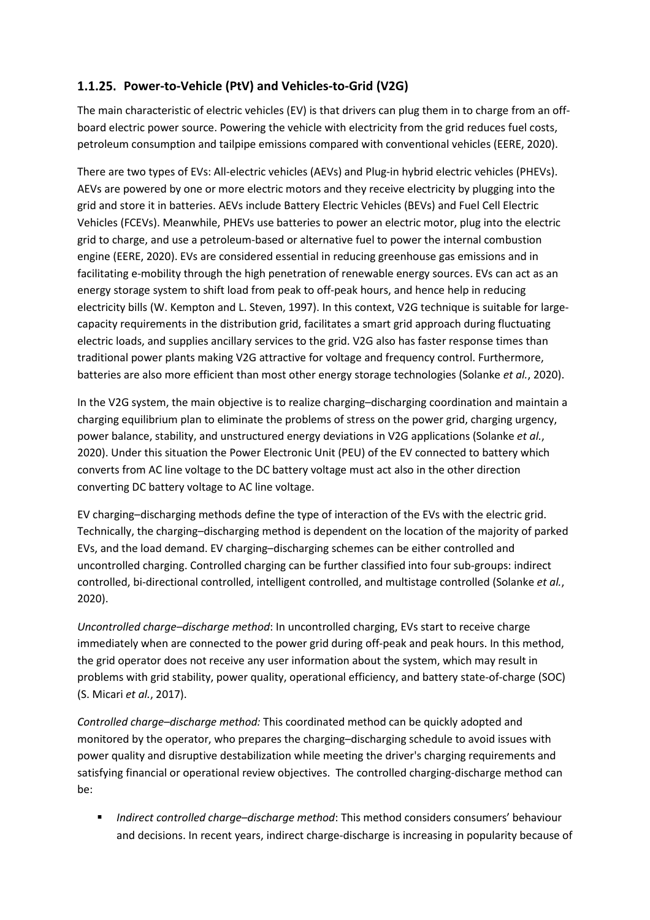#### **Power-to-Vehicle (PtV) and Vehicles-to-Grid (V2G)**

The main characteristic of electric vehicles (EV) is that drivers can plug them in to charge from an offboard electric power source. Powering the vehicle with electricity from the grid reduces fuel costs, petroleum consumption and tailpipe emissions compared with conventional vehicles (EERE, 2020).

There are two types of EVs: All-electric vehicles (AEVs) and Plug-in hybrid electric vehicles (PHEVs). AEVs are powered by one or more electric motors and they receive electricity by plugging into the grid and store it in batteries. AEVs include Battery Electric Vehicles (BEVs) and Fuel Cell Electric Vehicles (FCEVs). Meanwhile, PHEVs use batteries to power an electric motor, plug into the electric grid to charge, and use a petroleum-based or alternative fuel to power the internal combustion engine (EERE, 2020). EVs are considered essential in reducing greenhouse gas emissions and in facilitating e-mobility through the high penetration of renewable energy sources. EVs can act as an energy storage system to shift load from peak to off-peak hours, and hence help in reducing electricity bills (W. Kempton and L. Steven, 1997). In this context, V2G technique is suitable for largecapacity requirements in the distribution grid, facilitates a smart grid approach during fluctuating electric loads, and supplies ancillary services to the grid. V2G also has faster response times than traditional power plants making V2G attractive for voltage and frequency control. Furthermore, batteries are also more efficient than most other energy storage technologies (Solanke *et al.*, 2020).

In the V2G system, the main objective is to realize charging–discharging coordination and maintain a charging equilibrium plan to eliminate the problems of stress on the power grid, charging urgency, power balance, stability, and unstructured energy deviations in V2G applications (Solanke *et al.*, 2020). Under this situation the Power Electronic Unit (PEU) of the EV connected to battery which converts from AC line voltage to the DC battery voltage must act also in the other direction converting DC battery voltage to AC line voltage.

EV charging–discharging methods define the type of interaction of the EVs with the electric grid. Technically, the charging–discharging method is dependent on the location of the majority of parked EVs, and the load demand. EV charging–discharging schemes can be either controlled and uncontrolled charging. Controlled charging can be further classified into four sub-groups: indirect controlled, bi-directional controlled, intelligent controlled, and multistage controlled (Solanke *et al.*, 2020).

*Uncontrolled charge–discharge method*: In uncontrolled charging, EVs start to receive charge immediately when are connected to the power grid during off-peak and peak hours. In this method, the grid operator does not receive any user information about the system, which may result in problems with grid stability, power quality, operational efficiency, and battery state-of-charge (SOC) (S. Micari *et al.*, 2017).

*Controlled charge–discharge method:* This coordinated method can be quickly adopted and monitored by the operator, who prepares the charging–discharging schedule to avoid issues with power quality and disruptive destabilization while meeting the driver's charging requirements and satisfying financial or operational review objectives. The controlled charging-discharge method can be:

■ *Indirect controlled charge–discharge method*: This method considers consumers' behaviour and decisions. In recent years, indirect charge-discharge is increasing in popularity because of